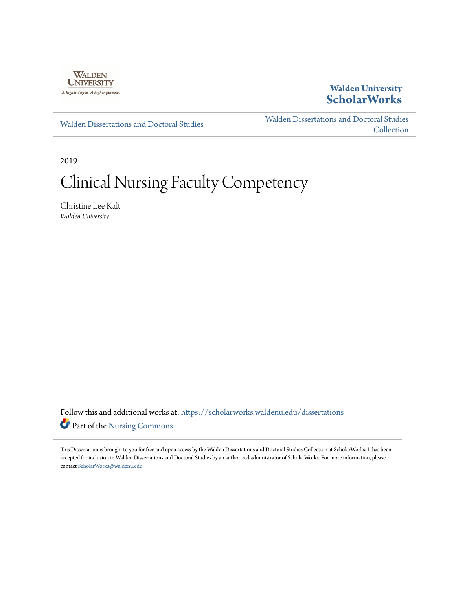

## **Walden University [ScholarWorks](https://scholarworks.waldenu.edu?utm_source=scholarworks.waldenu.edu%2Fdissertations%2F6228&utm_medium=PDF&utm_campaign=PDFCoverPages)**

[Walden Dissertations and Doctoral Studies](https://scholarworks.waldenu.edu/dissertations?utm_source=scholarworks.waldenu.edu%2Fdissertations%2F6228&utm_medium=PDF&utm_campaign=PDFCoverPages)

[Walden Dissertations and Doctoral Studies](https://scholarworks.waldenu.edu/dissanddoc?utm_source=scholarworks.waldenu.edu%2Fdissertations%2F6228&utm_medium=PDF&utm_campaign=PDFCoverPages) [Collection](https://scholarworks.waldenu.edu/dissanddoc?utm_source=scholarworks.waldenu.edu%2Fdissertations%2F6228&utm_medium=PDF&utm_campaign=PDFCoverPages)

2019

# Clinical Nursing Faculty Competency

Christine Lee Kalt *Walden University*

Follow this and additional works at: [https://scholarworks.waldenu.edu/dissertations](https://scholarworks.waldenu.edu/dissertations?utm_source=scholarworks.waldenu.edu%2Fdissertations%2F6228&utm_medium=PDF&utm_campaign=PDFCoverPages) Part of the [Nursing Commons](http://network.bepress.com/hgg/discipline/718?utm_source=scholarworks.waldenu.edu%2Fdissertations%2F6228&utm_medium=PDF&utm_campaign=PDFCoverPages)

This Dissertation is brought to you for free and open access by the Walden Dissertations and Doctoral Studies Collection at ScholarWorks. It has been accepted for inclusion in Walden Dissertations and Doctoral Studies by an authorized administrator of ScholarWorks. For more information, please contact [ScholarWorks@waldenu.edu](mailto:ScholarWorks@waldenu.edu).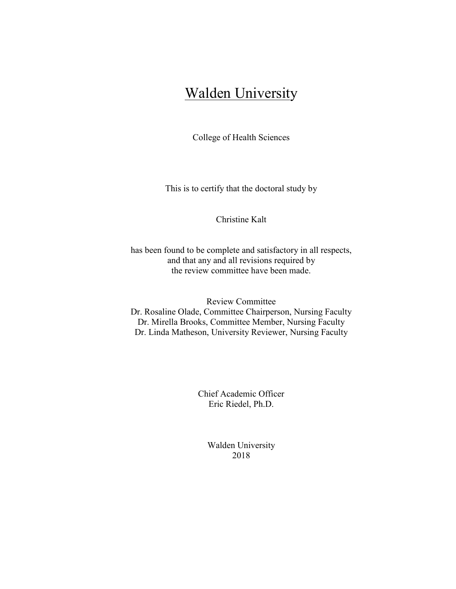## Walden University

College of Health Sciences

This is to certify that the doctoral study by

### Christine Kalt

has been found to be complete and satisfactory in all respects, and that any and all revisions required by the review committee have been made.

Review Committee Dr. Rosaline Olade, Committee Chairperson, Nursing Faculty Dr. Mirella Brooks, Committee Member, Nursing Faculty Dr. Linda Matheson, University Reviewer, Nursing Faculty

> Chief Academic Officer Eric Riedel, Ph.D.

> > Walden University 2018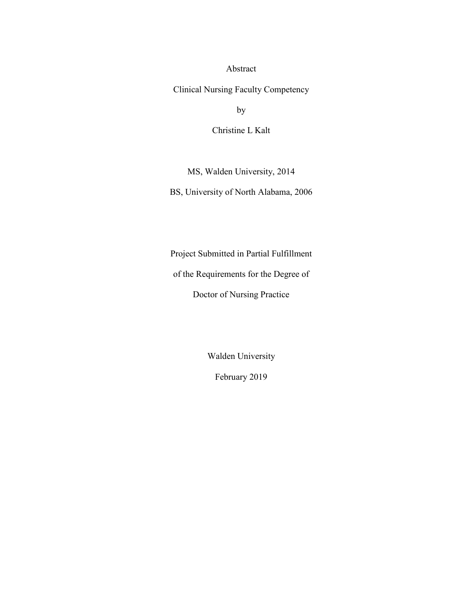Abstract

Clinical Nursing Faculty Competency

by

Christine L Kalt

MS, Walden University, 2014

BS, University of North Alabama, 2006

Project Submitted in Partial Fulfillment

of the Requirements for the Degree of

Doctor of Nursing Practice

Walden University

February 2019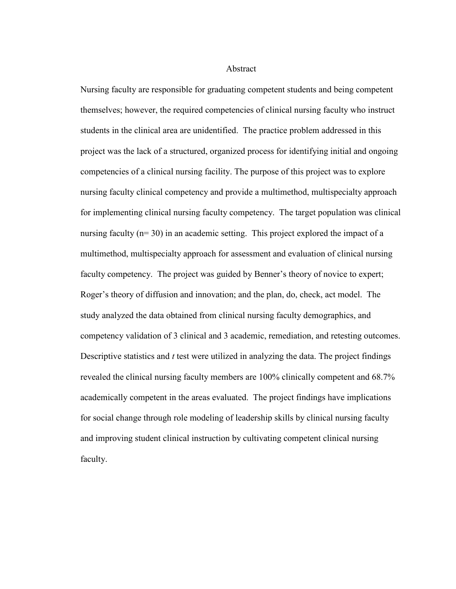#### Abstract

Nursing faculty are responsible for graduating competent students and being competent themselves; however, the required competencies of clinical nursing faculty who instruct students in the clinical area are unidentified. The practice problem addressed in this project was the lack of a structured, organized process for identifying initial and ongoing competencies of a clinical nursing facility. The purpose of this project was to explore nursing faculty clinical competency and provide a multimethod, multispecialty approach for implementing clinical nursing faculty competency. The target population was clinical nursing faculty (n= 30) in an academic setting. This project explored the impact of a multimethod, multispecialty approach for assessment and evaluation of clinical nursing faculty competency. The project was guided by Benner's theory of novice to expert; Roger's theory of diffusion and innovation; and the plan, do, check, act model. The study analyzed the data obtained from clinical nursing faculty demographics, and competency validation of 3 clinical and 3 academic, remediation, and retesting outcomes. Descriptive statistics and *t* test were utilized in analyzing the data. The project findings revealed the clinical nursing faculty members are 100% clinically competent and 68.7% academically competent in the areas evaluated. The project findings have implications for social change through role modeling of leadership skills by clinical nursing faculty and improving student clinical instruction by cultivating competent clinical nursing faculty.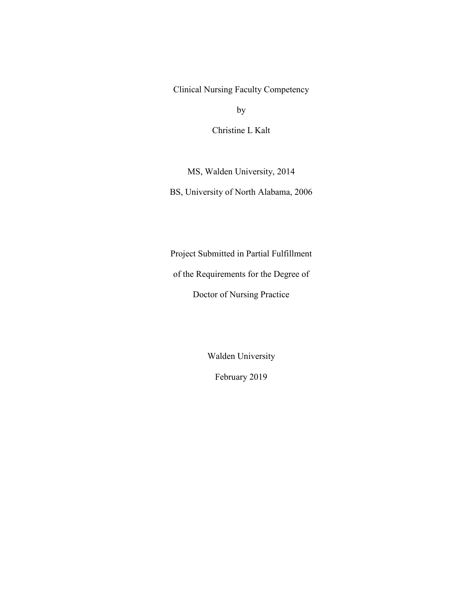Clinical Nursing Faculty Competency

by

Christine L Kalt

MS, Walden University, 2014

BS, University of North Alabama, 2006

Project Submitted in Partial Fulfillment

of the Requirements for the Degree of

Doctor of Nursing Practice

Walden University

February 2019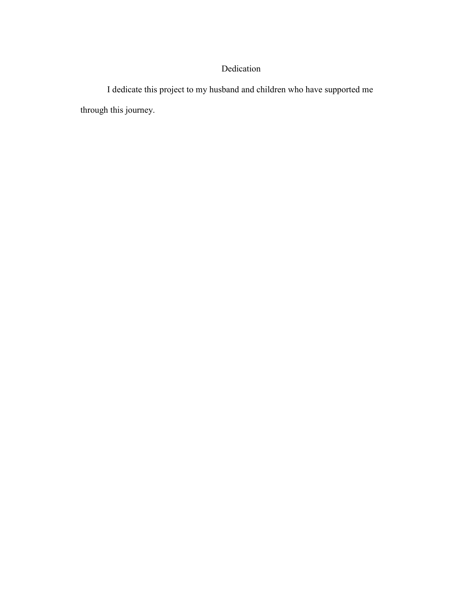## Dedication

I dedicate this project to my husband and children who have supported me through this journey.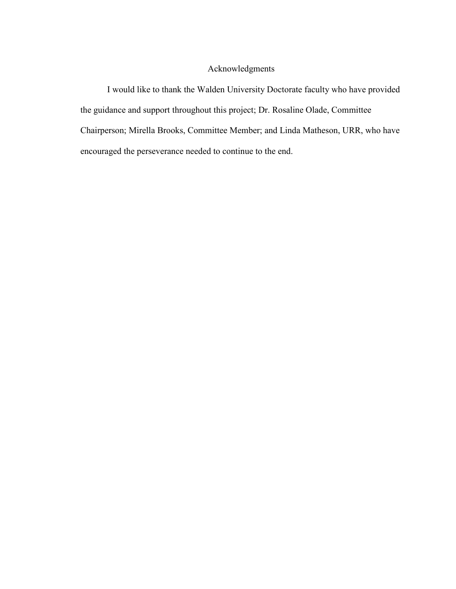## Acknowledgments

I would like to thank the Walden University Doctorate faculty who have provided the guidance and support throughout this project; Dr. Rosaline Olade, Committee Chairperson; Mirella Brooks, Committee Member; and Linda Matheson, URR, who have encouraged the perseverance needed to continue to the end.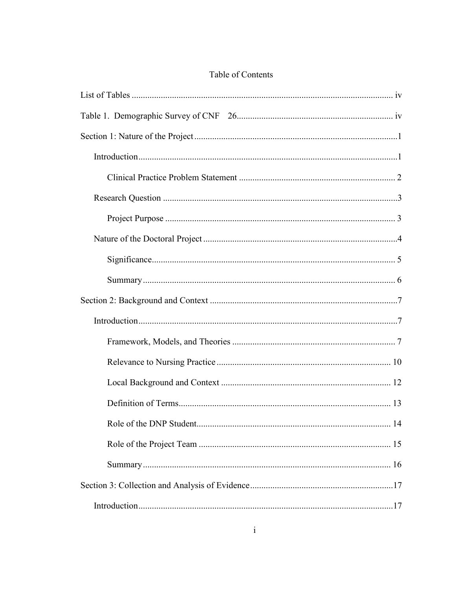## Table of Contents

| 14 |
|----|
|    |
|    |
|    |
|    |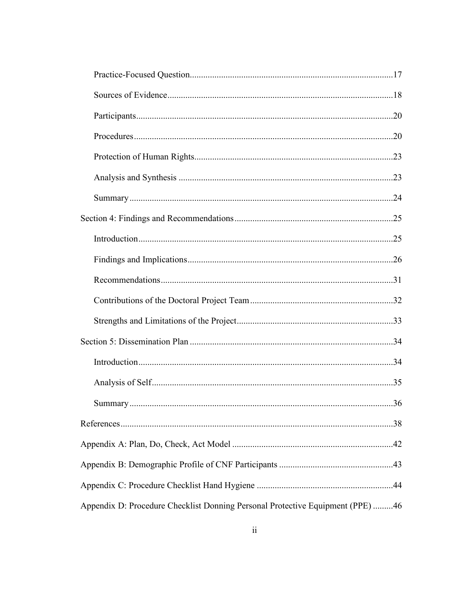|                                                                                | .36 |
|--------------------------------------------------------------------------------|-----|
|                                                                                |     |
|                                                                                |     |
|                                                                                |     |
|                                                                                |     |
| Appendix D: Procedure Checklist Donning Personal Protective Equipment (PPE) 46 |     |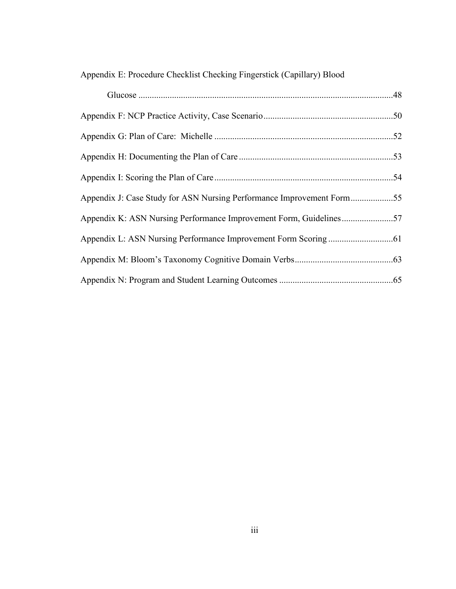| Appendix E: Procedure Checklist Checking Fingerstick (Capillary) Blood |  |  |  |
|------------------------------------------------------------------------|--|--|--|
|                                                                        |  |  |  |

| Appendix J: Case Study for ASN Nursing Performance Improvement Form55 |  |
|-----------------------------------------------------------------------|--|
| Appendix K: ASN Nursing Performance Improvement Form, Guidelines57    |  |
|                                                                       |  |
|                                                                       |  |
|                                                                       |  |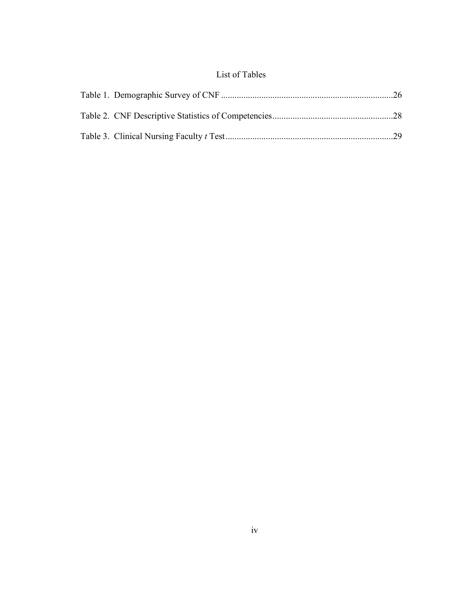## List of Tables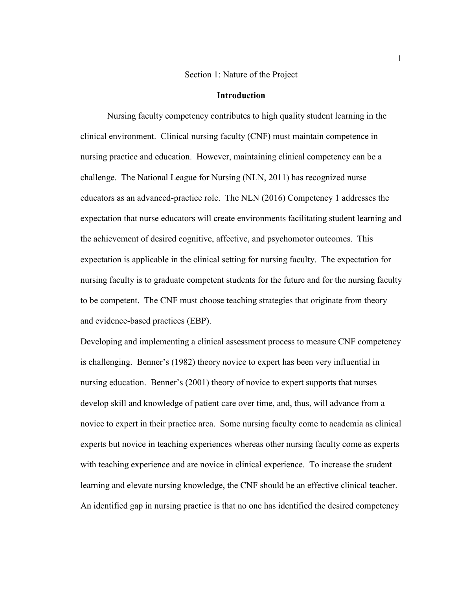#### Section 1: Nature of the Project

#### **Introduction**

Nursing faculty competency contributes to high quality student learning in the clinical environment. Clinical nursing faculty (CNF) must maintain competence in nursing practice and education. However, maintaining clinical competency can be a challenge. The National League for Nursing (NLN, 2011) has recognized nurse educators as an advanced-practice role. The NLN (2016) Competency 1 addresses the expectation that nurse educators will create environments facilitating student learning and the achievement of desired cognitive, affective, and psychomotor outcomes. This expectation is applicable in the clinical setting for nursing faculty. The expectation for nursing faculty is to graduate competent students for the future and for the nursing faculty to be competent. The CNF must choose teaching strategies that originate from theory and evidence-based practices (EBP).

Developing and implementing a clinical assessment process to measure CNF competency is challenging. Benner's (1982) theory novice to expert has been very influential in nursing education. Benner's (2001) theory of novice to expert supports that nurses develop skill and knowledge of patient care over time, and, thus, will advance from a novice to expert in their practice area. Some nursing faculty come to academia as clinical experts but novice in teaching experiences whereas other nursing faculty come as experts with teaching experience and are novice in clinical experience. To increase the student learning and elevate nursing knowledge, the CNF should be an effective clinical teacher. An identified gap in nursing practice is that no one has identified the desired competency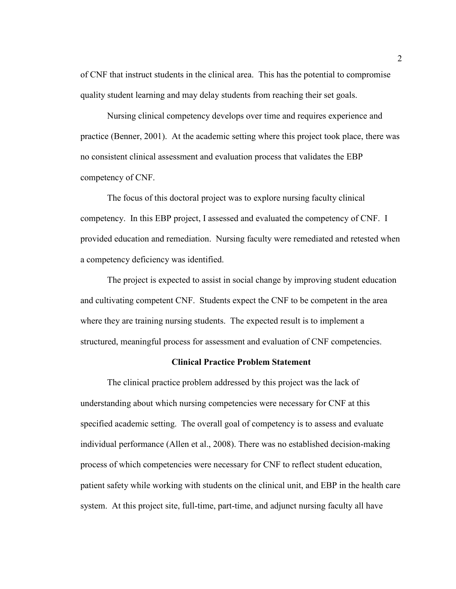of CNF that instruct students in the clinical area. This has the potential to compromise quality student learning and may delay students from reaching their set goals.

Nursing clinical competency develops over time and requires experience and practice (Benner, 2001). At the academic setting where this project took place, there was no consistent clinical assessment and evaluation process that validates the EBP competency of CNF.

The focus of this doctoral project was to explore nursing faculty clinical competency. In this EBP project, I assessed and evaluated the competency of CNF. I provided education and remediation. Nursing faculty were remediated and retested when a competency deficiency was identified.

The project is expected to assist in social change by improving student education and cultivating competent CNF. Students expect the CNF to be competent in the area where they are training nursing students. The expected result is to implement a structured, meaningful process for assessment and evaluation of CNF competencies.

#### **Clinical Practice Problem Statement**

The clinical practice problem addressed by this project was the lack of understanding about which nursing competencies were necessary for CNF at this specified academic setting. The overall goal of competency is to assess and evaluate individual performance (Allen et al., 2008). There was no established decision-making process of which competencies were necessary for CNF to reflect student education, patient safety while working with students on the clinical unit, and EBP in the health care system. At this project site, full-time, part-time, and adjunct nursing faculty all have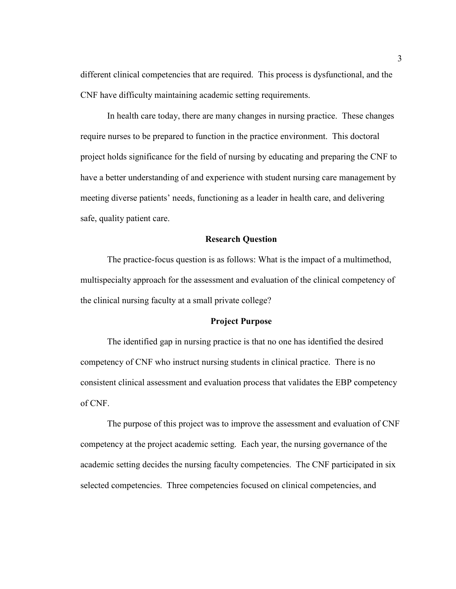different clinical competencies that are required. This process is dysfunctional, and the CNF have difficulty maintaining academic setting requirements.

In health care today, there are many changes in nursing practice. These changes require nurses to be prepared to function in the practice environment. This doctoral project holds significance for the field of nursing by educating and preparing the CNF to have a better understanding of and experience with student nursing care management by meeting diverse patients' needs, functioning as a leader in health care, and delivering safe, quality patient care.

#### **Research Question**

The practice-focus question is as follows: What is the impact of a multimethod, multispecialty approach for the assessment and evaluation of the clinical competency of the clinical nursing faculty at a small private college?

#### **Project Purpose**

The identified gap in nursing practice is that no one has identified the desired competency of CNF who instruct nursing students in clinical practice. There is no consistent clinical assessment and evaluation process that validates the EBP competency of CNF.

The purpose of this project was to improve the assessment and evaluation of CNF competency at the project academic setting. Each year, the nursing governance of the academic setting decides the nursing faculty competencies. The CNF participated in six selected competencies. Three competencies focused on clinical competencies, and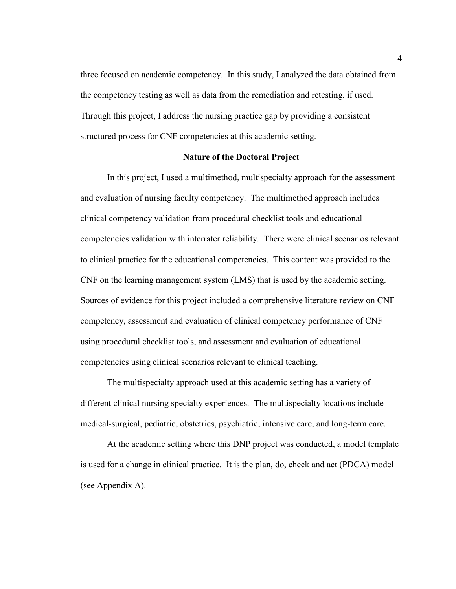three focused on academic competency. In this study, I analyzed the data obtained from the competency testing as well as data from the remediation and retesting, if used. Through this project, I address the nursing practice gap by providing a consistent structured process for CNF competencies at this academic setting.

#### **Nature of the Doctoral Project**

In this project, I used a multimethod, multispecialty approach for the assessment and evaluation of nursing faculty competency. The multimethod approach includes clinical competency validation from procedural checklist tools and educational competencies validation with interrater reliability. There were clinical scenarios relevant to clinical practice for the educational competencies. This content was provided to the CNF on the learning management system (LMS) that is used by the academic setting. Sources of evidence for this project included a comprehensive literature review on CNF competency, assessment and evaluation of clinical competency performance of CNF using procedural checklist tools, and assessment and evaluation of educational competencies using clinical scenarios relevant to clinical teaching.

The multispecialty approach used at this academic setting has a variety of different clinical nursing specialty experiences. The multispecialty locations include medical-surgical, pediatric, obstetrics, psychiatric, intensive care, and long-term care.

At the academic setting where this DNP project was conducted, a model template is used for a change in clinical practice. It is the plan, do, check and act (PDCA) model (see Appendix A).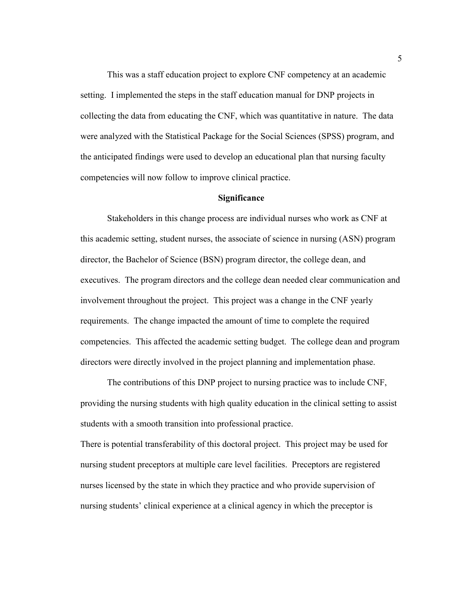This was a staff education project to explore CNF competency at an academic setting. I implemented the steps in the staff education manual for DNP projects in collecting the data from educating the CNF, which was quantitative in nature. The data were analyzed with the Statistical Package for the Social Sciences (SPSS) program, and the anticipated findings were used to develop an educational plan that nursing faculty competencies will now follow to improve clinical practice.

#### **Significance**

Stakeholders in this change process are individual nurses who work as CNF at this academic setting, student nurses, the associate of science in nursing (ASN) program director, the Bachelor of Science (BSN) program director, the college dean, and executives. The program directors and the college dean needed clear communication and involvement throughout the project. This project was a change in the CNF yearly requirements. The change impacted the amount of time to complete the required competencies. This affected the academic setting budget. The college dean and program directors were directly involved in the project planning and implementation phase.

The contributions of this DNP project to nursing practice was to include CNF, providing the nursing students with high quality education in the clinical setting to assist students with a smooth transition into professional practice.

There is potential transferability of this doctoral project. This project may be used for nursing student preceptors at multiple care level facilities. Preceptors are registered nurses licensed by the state in which they practice and who provide supervision of nursing students' clinical experience at a clinical agency in which the preceptor is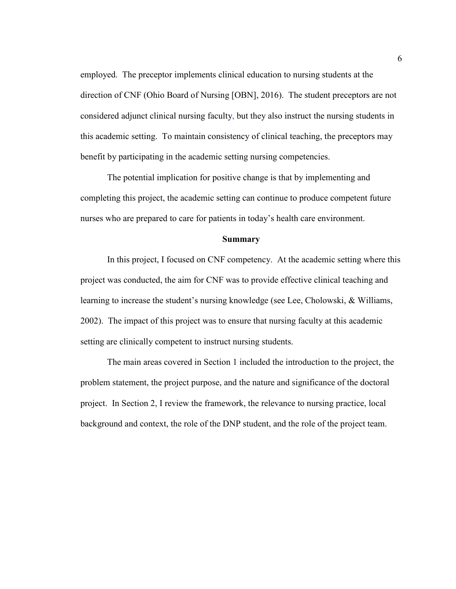employed. The preceptor implements clinical education to nursing students at the direction of CNF (Ohio Board of Nursing [OBN], 2016). The student preceptors are not considered adjunct clinical nursing faculty, but they also instruct the nursing students in this academic setting. To maintain consistency of clinical teaching, the preceptors may benefit by participating in the academic setting nursing competencies.

The potential implication for positive change is that by implementing and completing this project, the academic setting can continue to produce competent future nurses who are prepared to care for patients in today's health care environment.

#### **Summary**

In this project, I focused on CNF competency. At the academic setting where this project was conducted, the aim for CNF was to provide effective clinical teaching and learning to increase the student's nursing knowledge (see Lee, Cholowski, & Williams, 2002). The impact of this project was to ensure that nursing faculty at this academic setting are clinically competent to instruct nursing students.

The main areas covered in Section 1 included the introduction to the project, the problem statement, the project purpose, and the nature and significance of the doctoral project. In Section 2, I review the framework, the relevance to nursing practice, local background and context, the role of the DNP student, and the role of the project team.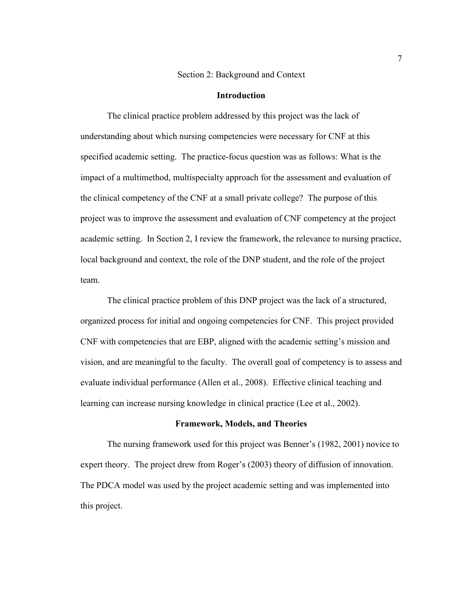#### Section 2: Background and Context

#### **Introduction**

The clinical practice problem addressed by this project was the lack of understanding about which nursing competencies were necessary for CNF at this specified academic setting. The practice-focus question was as follows: What is the impact of a multimethod, multispecialty approach for the assessment and evaluation of the clinical competency of the CNF at a small private college? The purpose of this project was to improve the assessment and evaluation of CNF competency at the project academic setting. In Section 2, I review the framework, the relevance to nursing practice, local background and context, the role of the DNP student, and the role of the project team.

The clinical practice problem of this DNP project was the lack of a structured, organized process for initial and ongoing competencies for CNF. This project provided CNF with competencies that are EBP, aligned with the academic setting's mission and vision, and are meaningful to the faculty. The overall goal of competency is to assess and evaluate individual performance (Allen et al., 2008). Effective clinical teaching and learning can increase nursing knowledge in clinical practice (Lee et al., 2002).

#### **Framework, Models, and Theories**

The nursing framework used for this project was Benner's (1982, 2001) novice to expert theory. The project drew from Roger's (2003) theory of diffusion of innovation. The PDCA model was used by the project academic setting and was implemented into this project.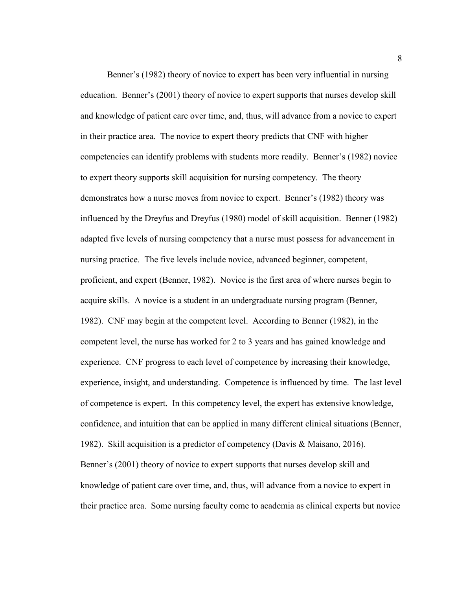Benner's (1982) theory of novice to expert has been very influential in nursing education. Benner's (2001) theory of novice to expert supports that nurses develop skill and knowledge of patient care over time, and, thus, will advance from a novice to expert in their practice area. The novice to expert theory predicts that CNF with higher competencies can identify problems with students more readily. Benner's (1982) novice to expert theory supports skill acquisition for nursing competency. The theory demonstrates how a nurse moves from novice to expert. Benner's (1982) theory was influenced by the Dreyfus and Dreyfus (1980) model of skill acquisition. Benner (1982) adapted five levels of nursing competency that a nurse must possess for advancement in nursing practice. The five levels include novice, advanced beginner, competent, proficient, and expert (Benner, 1982). Novice is the first area of where nurses begin to acquire skills. A novice is a student in an undergraduate nursing program (Benner, 1982). CNF may begin at the competent level. According to Benner (1982), in the competent level, the nurse has worked for 2 to 3 years and has gained knowledge and experience. CNF progress to each level of competence by increasing their knowledge, experience, insight, and understanding. Competence is influenced by time. The last level of competence is expert. In this competency level, the expert has extensive knowledge, confidence, and intuition that can be applied in many different clinical situations (Benner, 1982). Skill acquisition is a predictor of competency (Davis & Maisano, 2016). Benner's (2001) theory of novice to expert supports that nurses develop skill and knowledge of patient care over time, and, thus, will advance from a novice to expert in their practice area. Some nursing faculty come to academia as clinical experts but novice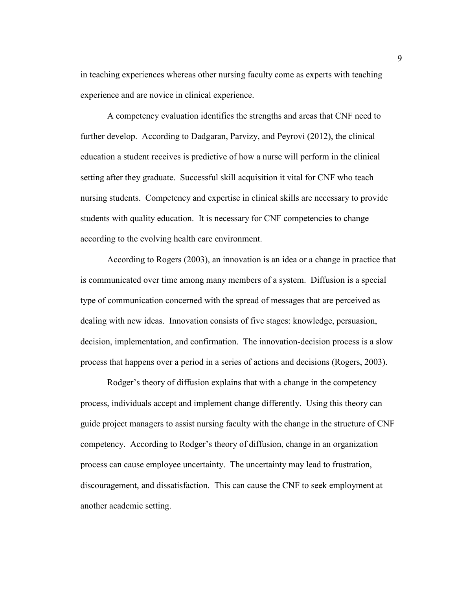in teaching experiences whereas other nursing faculty come as experts with teaching experience and are novice in clinical experience.

A competency evaluation identifies the strengths and areas that CNF need to further develop. According to Dadgaran, Parvizy, and Peyrovi (2012), the clinical education a student receives is predictive of how a nurse will perform in the clinical setting after they graduate. Successful skill acquisition it vital for CNF who teach nursing students. Competency and expertise in clinical skills are necessary to provide students with quality education. It is necessary for CNF competencies to change according to the evolving health care environment.

According to Rogers (2003), an innovation is an idea or a change in practice that is communicated over time among many members of a system. Diffusion is a special type of communication concerned with the spread of messages that are perceived as dealing with new ideas. Innovation consists of five stages: knowledge, persuasion, decision, implementation, and confirmation. The innovation-decision process is a slow process that happens over a period in a series of actions and decisions (Rogers, 2003).

Rodger's theory of diffusion explains that with a change in the competency process, individuals accept and implement change differently. Using this theory can guide project managers to assist nursing faculty with the change in the structure of CNF competency. According to Rodger's theory of diffusion, change in an organization process can cause employee uncertainty. The uncertainty may lead to frustration, discouragement, and dissatisfaction. This can cause the CNF to seek employment at another academic setting.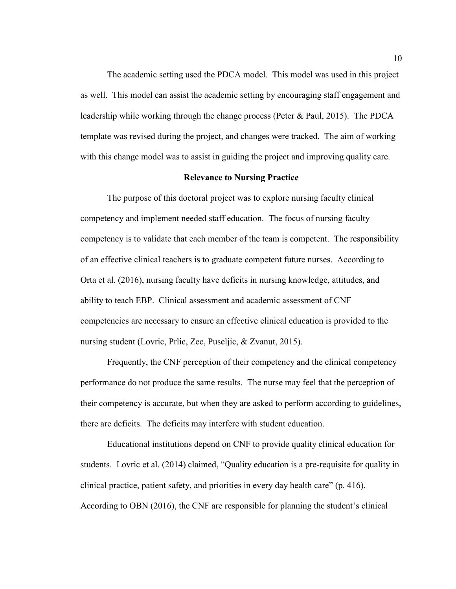The academic setting used the PDCA model. This model was used in this project as well. This model can assist the academic setting by encouraging staff engagement and leadership while working through the change process (Peter & Paul, 2015). The PDCA template was revised during the project, and changes were tracked. The aim of working with this change model was to assist in guiding the project and improving quality care.

#### **Relevance to Nursing Practice**

The purpose of this doctoral project was to explore nursing faculty clinical competency and implement needed staff education. The focus of nursing faculty competency is to validate that each member of the team is competent. The responsibility of an effective clinical teachers is to graduate competent future nurses. According to Orta et al. (2016), nursing faculty have deficits in nursing knowledge, attitudes, and ability to teach EBP. Clinical assessment and academic assessment of CNF competencies are necessary to ensure an effective clinical education is provided to the nursing student (Lovric, Prlic, Zec, Puseljic, & Zvanut, 2015).

Frequently, the CNF perception of their competency and the clinical competency performance do not produce the same results. The nurse may feel that the perception of their competency is accurate, but when they are asked to perform according to guidelines, there are deficits. The deficits may interfere with student education.

Educational institutions depend on CNF to provide quality clinical education for students. Lovric et al. (2014) claimed, "Quality education is a pre-requisite for quality in clinical practice, patient safety, and priorities in every day health care" (p. 416). According to OBN (2016), the CNF are responsible for planning the student's clinical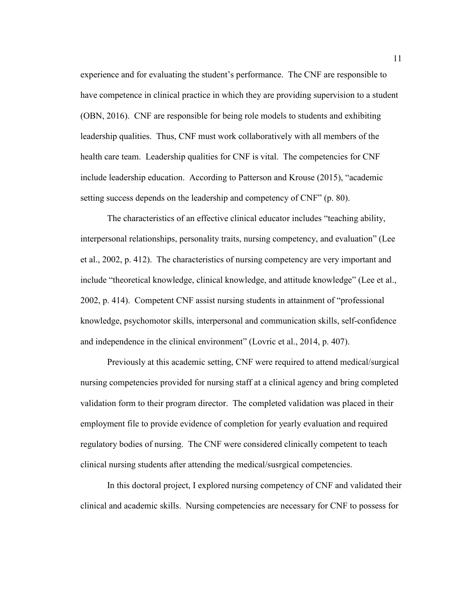experience and for evaluating the student's performance. The CNF are responsible to have competence in clinical practice in which they are providing supervision to a student (OBN, 2016). CNF are responsible for being role models to students and exhibiting leadership qualities. Thus, CNF must work collaboratively with all members of the health care team. Leadership qualities for CNF is vital. The competencies for CNF include leadership education. According to Patterson and Krouse (2015), "academic setting success depends on the leadership and competency of CNF" (p. 80).

The characteristics of an effective clinical educator includes "teaching ability, interpersonal relationships, personality traits, nursing competency, and evaluation" (Lee et al., 2002, p. 412). The characteristics of nursing competency are very important and include "theoretical knowledge, clinical knowledge, and attitude knowledge" (Lee et al., 2002, p. 414). Competent CNF assist nursing students in attainment of "professional knowledge, psychomotor skills, interpersonal and communication skills, self-confidence and independence in the clinical environment" (Lovric et al., 2014, p. 407).

Previously at this academic setting, CNF were required to attend medical/surgical nursing competencies provided for nursing staff at a clinical agency and bring completed validation form to their program director. The completed validation was placed in their employment file to provide evidence of completion for yearly evaluation and required regulatory bodies of nursing. The CNF were considered clinically competent to teach clinical nursing students after attending the medical/susrgical competencies.

In this doctoral project, I explored nursing competency of CNF and validated their clinical and academic skills. Nursing competencies are necessary for CNF to possess for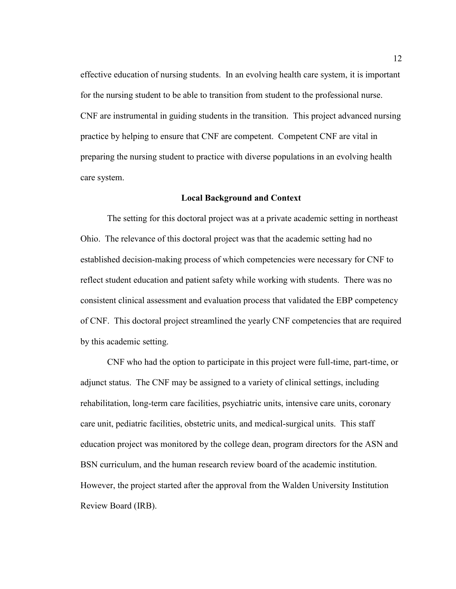effective education of nursing students. In an evolving health care system, it is important for the nursing student to be able to transition from student to the professional nurse. CNF are instrumental in guiding students in the transition. This project advanced nursing practice by helping to ensure that CNF are competent. Competent CNF are vital in preparing the nursing student to practice with diverse populations in an evolving health care system.

#### **Local Background and Context**

The setting for this doctoral project was at a private academic setting in northeast Ohio. The relevance of this doctoral project was that the academic setting had no established decision-making process of which competencies were necessary for CNF to reflect student education and patient safety while working with students. There was no consistent clinical assessment and evaluation process that validated the EBP competency of CNF. This doctoral project streamlined the yearly CNF competencies that are required by this academic setting.

CNF who had the option to participate in this project were full-time, part-time, or adjunct status. The CNF may be assigned to a variety of clinical settings, including rehabilitation, long-term care facilities, psychiatric units, intensive care units, coronary care unit, pediatric facilities, obstetric units, and medical-surgical units. This staff education project was monitored by the college dean, program directors for the ASN and BSN curriculum, and the human research review board of the academic institution. However, the project started after the approval from the Walden University Institution Review Board (IRB).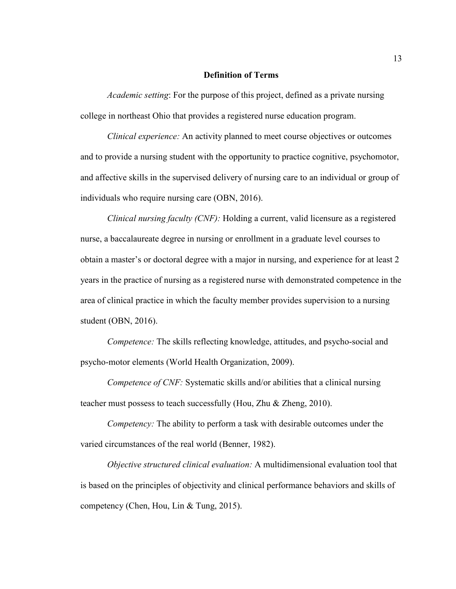#### **Definition of Terms**

*Academic setting*: For the purpose of this project, defined as a private nursing college in northeast Ohio that provides a registered nurse education program.

*Clinical experience:* An activity planned to meet course objectives or outcomes and to provide a nursing student with the opportunity to practice cognitive, psychomotor, and affective skills in the supervised delivery of nursing care to an individual or group of individuals who require nursing care (OBN, 2016).

*Clinical nursing faculty (CNF):* Holding a current, valid licensure as a registered nurse, a baccalaureate degree in nursing or enrollment in a graduate level courses to obtain a master's or doctoral degree with a major in nursing, and experience for at least 2 years in the practice of nursing as a registered nurse with demonstrated competence in the area of clinical practice in which the faculty member provides supervision to a nursing student (OBN, 2016).

*Competence:* The skills reflecting knowledge, attitudes, and psycho-social and psycho-motor elements (World Health Organization, 2009).

*Competence of CNF:* Systematic skills and/or abilities that a clinical nursing teacher must possess to teach successfully (Hou, Zhu & Zheng, 2010).

*Competency:* The ability to perform a task with desirable outcomes under the varied circumstances of the real world (Benner, 1982).

*Objective structured clinical evaluation:* A multidimensional evaluation tool that is based on the principles of objectivity and clinical performance behaviors and skills of competency (Chen, Hou, Lin & Tung, 2015).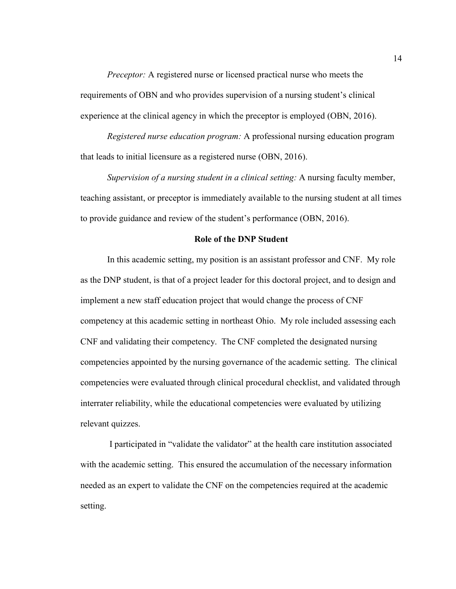*Preceptor:* A registered nurse or licensed practical nurse who meets the requirements of OBN and who provides supervision of a nursing student's clinical experience at the clinical agency in which the preceptor is employed (OBN, 2016).

*Registered nurse education program:* A professional nursing education program that leads to initial licensure as a registered nurse (OBN, 2016).

*Supervision of a nursing student in a clinical setting:* A nursing faculty member, teaching assistant, or preceptor is immediately available to the nursing student at all times to provide guidance and review of the student's performance (OBN, 2016).

#### **Role of the DNP Student**

In this academic setting, my position is an assistant professor and CNF. My role as the DNP student, is that of a project leader for this doctoral project, and to design and implement a new staff education project that would change the process of CNF competency at this academic setting in northeast Ohio. My role included assessing each CNF and validating their competency. The CNF completed the designated nursing competencies appointed by the nursing governance of the academic setting. The clinical competencies were evaluated through clinical procedural checklist, and validated through interrater reliability, while the educational competencies were evaluated by utilizing relevant quizzes.

I participated in "validate the validator" at the health care institution associated with the academic setting. This ensured the accumulation of the necessary information needed as an expert to validate the CNF on the competencies required at the academic setting.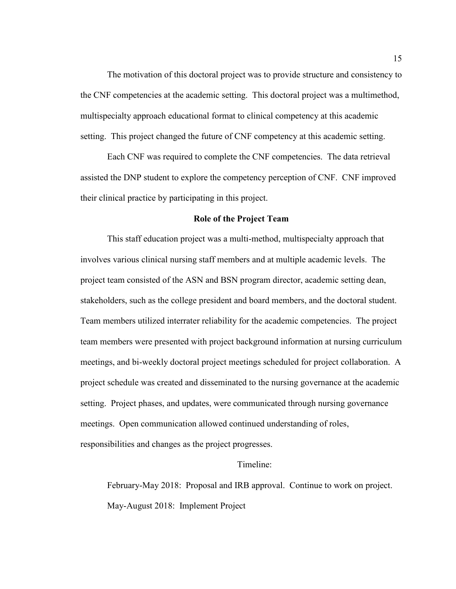The motivation of this doctoral project was to provide structure and consistency to the CNF competencies at the academic setting. This doctoral project was a multimethod, multispecialty approach educational format to clinical competency at this academic setting. This project changed the future of CNF competency at this academic setting.

Each CNF was required to complete the CNF competencies. The data retrieval assisted the DNP student to explore the competency perception of CNF. CNF improved their clinical practice by participating in this project.

#### **Role of the Project Team**

This staff education project was a multi-method, multispecialty approach that involves various clinical nursing staff members and at multiple academic levels. The project team consisted of the ASN and BSN program director, academic setting dean, stakeholders, such as the college president and board members, and the doctoral student. Team members utilized interrater reliability for the academic competencies. The project team members were presented with project background information at nursing curriculum meetings, and bi-weekly doctoral project meetings scheduled for project collaboration. A project schedule was created and disseminated to the nursing governance at the academic setting. Project phases, and updates, were communicated through nursing governance meetings. Open communication allowed continued understanding of roles, responsibilities and changes as the project progresses.

#### Timeline:

February-May 2018: Proposal and IRB approval. Continue to work on project. May-August 2018: Implement Project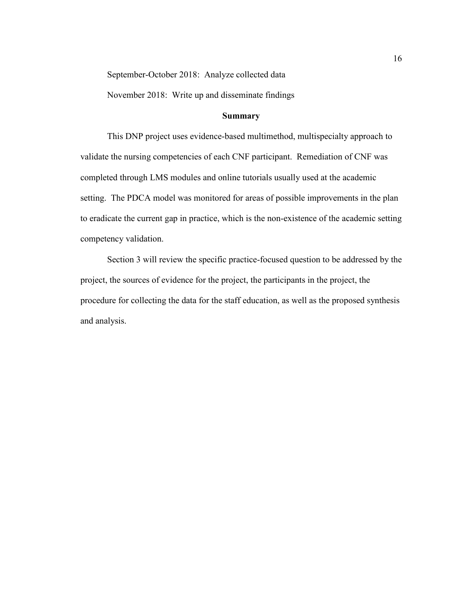September-October 2018: Analyze collected data

November 2018: Write up and disseminate findings

#### **Summary**

This DNP project uses evidence-based multimethod, multispecialty approach to validate the nursing competencies of each CNF participant. Remediation of CNF was completed through LMS modules and online tutorials usually used at the academic setting. The PDCA model was monitored for areas of possible improvements in the plan to eradicate the current gap in practice, which is the non-existence of the academic setting competency validation.

Section 3 will review the specific practice-focused question to be addressed by the project, the sources of evidence for the project, the participants in the project, the procedure for collecting the data for the staff education, as well as the proposed synthesis and analysis.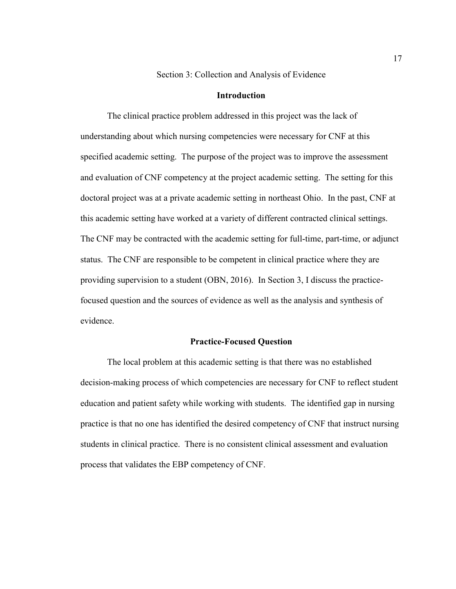Section 3: Collection and Analysis of Evidence

#### **Introduction**

The clinical practice problem addressed in this project was the lack of understanding about which nursing competencies were necessary for CNF at this specified academic setting. The purpose of the project was to improve the assessment and evaluation of CNF competency at the project academic setting. The setting for this doctoral project was at a private academic setting in northeast Ohio. In the past, CNF at this academic setting have worked at a variety of different contracted clinical settings. The CNF may be contracted with the academic setting for full-time, part-time, or adjunct status. The CNF are responsible to be competent in clinical practice where they are providing supervision to a student (OBN, 2016). In Section 3, I discuss the practicefocused question and the sources of evidence as well as the analysis and synthesis of evidence.

#### **Practice-Focused Question**

The local problem at this academic setting is that there was no established decision-making process of which competencies are necessary for CNF to reflect student education and patient safety while working with students. The identified gap in nursing practice is that no one has identified the desired competency of CNF that instruct nursing students in clinical practice. There is no consistent clinical assessment and evaluation process that validates the EBP competency of CNF.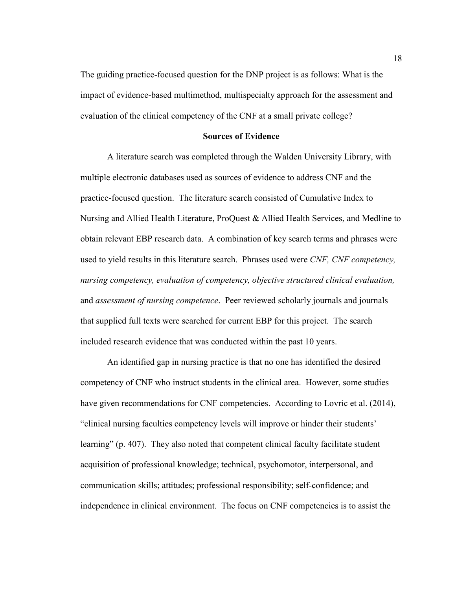The guiding practice-focused question for the DNP project is as follows: What is the impact of evidence-based multimethod, multispecialty approach for the assessment and evaluation of the clinical competency of the CNF at a small private college?

#### **Sources of Evidence**

A literature search was completed through the Walden University Library, with multiple electronic databases used as sources of evidence to address CNF and the practice-focused question. The literature search consisted of Cumulative Index to Nursing and Allied Health Literature, ProQuest & Allied Health Services, and Medline to obtain relevant EBP research data. A combination of key search terms and phrases were used to yield results in this literature search. Phrases used were *CNF, CNF competency, nursing competency, evaluation of competency, objective structured clinical evaluation,* and *assessment of nursing competence*. Peer reviewed scholarly journals and journals that supplied full texts were searched for current EBP for this project. The search included research evidence that was conducted within the past 10 years.

 An identified gap in nursing practice is that no one has identified the desired competency of CNF who instruct students in the clinical area. However, some studies have given recommendations for CNF competencies. According to Lovric et al. (2014), "clinical nursing faculties competency levels will improve or hinder their students' learning" (p. 407). They also noted that competent clinical faculty facilitate student acquisition of professional knowledge; technical, psychomotor, interpersonal, and communication skills; attitudes; professional responsibility; self-confidence; and independence in clinical environment. The focus on CNF competencies is to assist the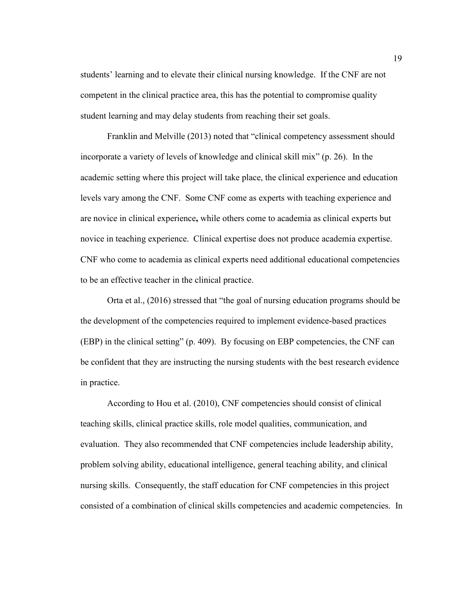students' learning and to elevate their clinical nursing knowledge. If the CNF are not competent in the clinical practice area, this has the potential to compromise quality student learning and may delay students from reaching their set goals.

 Franklin and Melville (2013) noted that "clinical competency assessment should incorporate a variety of levels of knowledge and clinical skill mix" (p. 26). In the academic setting where this project will take place, the clinical experience and education levels vary among the CNF. Some CNF come as experts with teaching experience and are novice in clinical experience**,** while others come to academia as clinical experts but novice in teaching experience. Clinical expertise does not produce academia expertise. CNF who come to academia as clinical experts need additional educational competencies to be an effective teacher in the clinical practice.

Orta et al., (2016) stressed that "the goal of nursing education programs should be the development of the competencies required to implement evidence-based practices (EBP) in the clinical setting" (p. 409). By focusing on EBP competencies, the CNF can be confident that they are instructing the nursing students with the best research evidence in practice.

 According to Hou et al. (2010), CNF competencies should consist of clinical teaching skills, clinical practice skills, role model qualities, communication, and evaluation. They also recommended that CNF competencies include leadership ability, problem solving ability, educational intelligence, general teaching ability, and clinical nursing skills. Consequently, the staff education for CNF competencies in this project consisted of a combination of clinical skills competencies and academic competencies. In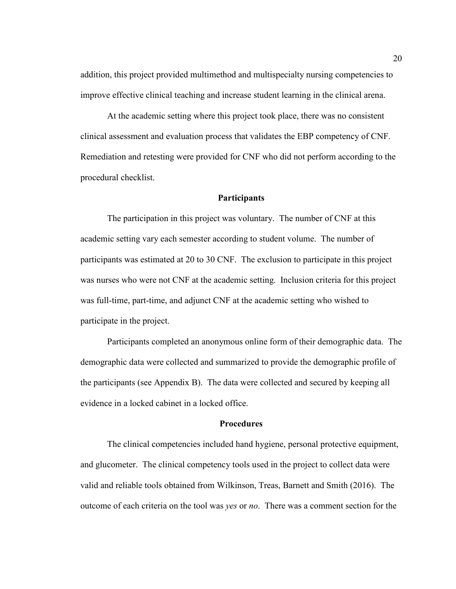addition, this project provided multimethod and multispecialty nursing competencies to improve effective clinical teaching and increase student learning in the clinical arena.

 At the academic setting where this project took place, there was no consistent clinical assessment and evaluation process that validates the EBP competency of CNF. Remediation and retesting were provided for CNF who did not perform according to the procedural checklist.

#### **Participants**

The participation in this project was voluntary. The number of CNF at this academic setting vary each semester according to student volume. The number of participants was estimated at 20 to 30 CNF. The exclusion to participate in this project was nurses who were not CNF at the academic setting. Inclusion criteria for this project was full-time, part-time, and adjunct CNF at the academic setting who wished to participate in the project.

Participants completed an anonymous online form of their demographic data. The demographic data were collected and summarized to provide the demographic profile of the participants (see Appendix B). The data were collected and secured by keeping all evidence in a locked cabinet in a locked office.

#### **Procedures**

The clinical competencies included hand hygiene, personal protective equipment, and glucometer. The clinical competency tools used in the project to collect data were valid and reliable tools obtained from Wilkinson, Treas, Barnett and Smith (2016). The outcome of each criteria on the tool was *yes* or *no*. There was a comment section for the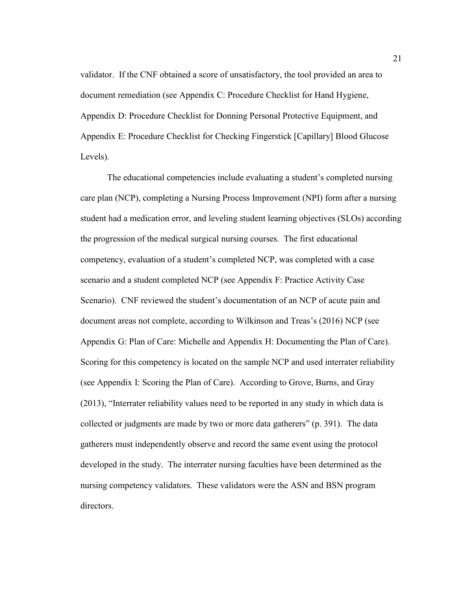validator. If the CNF obtained a score of unsatisfactory, the tool provided an area to document remediation (see Appendix C: Procedure Checklist for Hand Hygiene, Appendix D: Procedure Checklist for Donning Personal Protective Equipment, and Appendix E: Procedure Checklist for Checking Fingerstick [Capillary] Blood Glucose Levels).

The educational competencies include evaluating a student's completed nursing care plan (NCP), completing a Nursing Process Improvement (NPI) form after a nursing student had a medication error, and leveling student learning objectives (SLOs) according the progression of the medical surgical nursing courses. The first educational competency, evaluation of a student's completed NCP, was completed with a case scenario and a student completed NCP (see Appendix F: Practice Activity Case Scenario). CNF reviewed the student's documentation of an NCP of acute pain and document areas not complete, according to Wilkinson and Treas's (2016) NCP (see Appendix G: Plan of Care: Michelle and Appendix H: Documenting the Plan of Care). Scoring for this competency is located on the sample NCP and used interrater reliability (see Appendix I: Scoring the Plan of Care). According to Grove, Burns, and Gray (2013), "Interrater reliability values need to be reported in any study in which data is collected or judgments are made by two or more data gatherers" (p. 391). The data gatherers must independently observe and record the same event using the protocol developed in the study. The interrater nursing faculties have been determined as the nursing competency validators. These validators were the ASN and BSN program directors.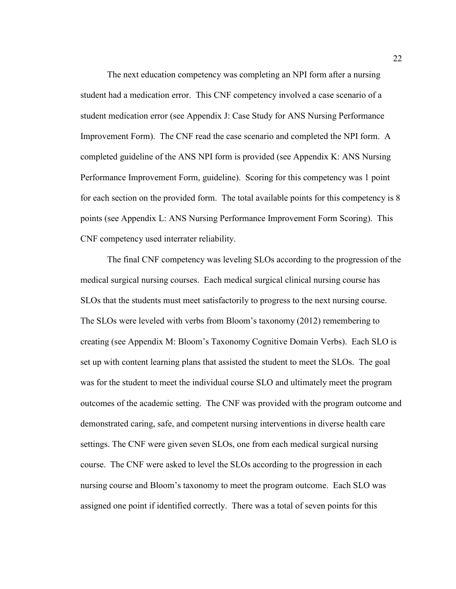The next education competency was completing an NPI form after a nursing student had a medication error. This CNF competency involved a case scenario of a student medication error (see Appendix J: Case Study for ANS Nursing Performance Improvement Form). The CNF read the case scenario and completed the NPI form. A completed guideline of the ANS NPI form is provided (see Appendix K: ANS Nursing Performance Improvement Form, guideline). Scoring for this competency was 1 point for each section on the provided form. The total available points for this competency is 8 points (see Appendix L: ANS Nursing Performance Improvement Form Scoring). This CNF competency used interrater reliability.

The final CNF competency was leveling SLOs according to the progression of the medical surgical nursing courses. Each medical surgical clinical nursing course has SLOs that the students must meet satisfactorily to progress to the next nursing course. The SLOs were leveled with verbs from Bloom's taxonomy (2012) remembering to creating (see Appendix M: Bloom's Taxonomy Cognitive Domain Verbs). Each SLO is set up with content learning plans that assisted the student to meet the SLOs. The goal was for the student to meet the individual course SLO and ultimately meet the program outcomes of the academic setting. The CNF was provided with the program outcome and demonstrated caring, safe, and competent nursing interventions in diverse health care settings. The CNF were given seven SLOs, one from each medical surgical nursing course. The CNF were asked to level the SLOs according to the progression in each nursing course and Bloom's taxonomy to meet the program outcome. Each SLO was assigned one point if identified correctly. There was a total of seven points for this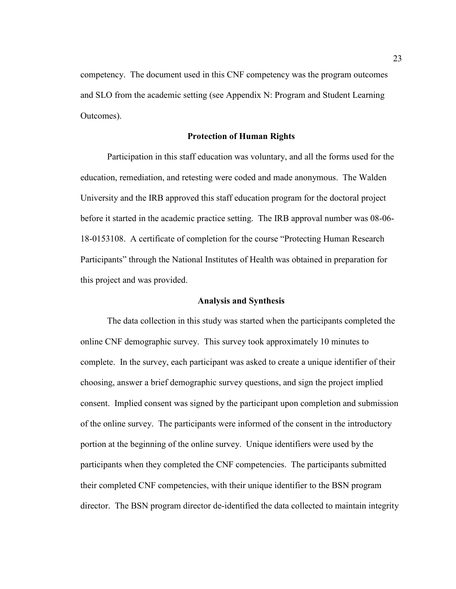competency. The document used in this CNF competency was the program outcomes and SLO from the academic setting (see Appendix N: Program and Student Learning Outcomes).

#### **Protection of Human Rights**

Participation in this staff education was voluntary, and all the forms used for the education, remediation, and retesting were coded and made anonymous. The Walden University and the IRB approved this staff education program for the doctoral project before it started in the academic practice setting. The IRB approval number was 08-06- 18-0153108. A certificate of completion for the course "Protecting Human Research Participants" through the National Institutes of Health was obtained in preparation for this project and was provided.

#### **Analysis and Synthesis**

The data collection in this study was started when the participants completed the online CNF demographic survey. This survey took approximately 10 minutes to complete. In the survey, each participant was asked to create a unique identifier of their choosing, answer a brief demographic survey questions, and sign the project implied consent. Implied consent was signed by the participant upon completion and submission of the online survey. The participants were informed of the consent in the introductory portion at the beginning of the online survey. Unique identifiers were used by the participants when they completed the CNF competencies. The participants submitted their completed CNF competencies, with their unique identifier to the BSN program director. The BSN program director de-identified the data collected to maintain integrity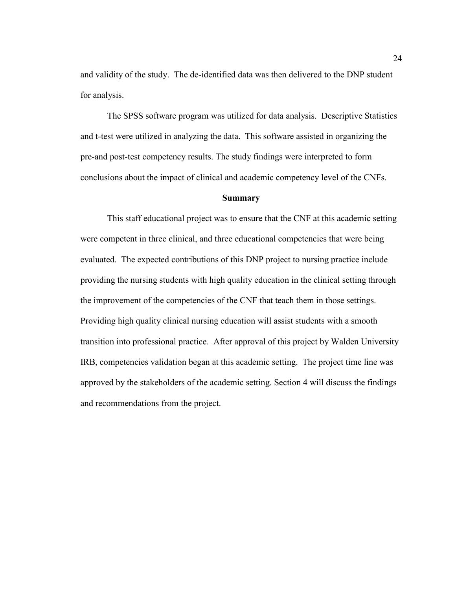and validity of the study. The de-identified data was then delivered to the DNP student for analysis.

The SPSS software program was utilized for data analysis. Descriptive Statistics and t-test were utilized in analyzing the data. This software assisted in organizing the pre-and post-test competency results. The study findings were interpreted to form conclusions about the impact of clinical and academic competency level of the CNFs.

#### **Summary**

This staff educational project was to ensure that the CNF at this academic setting were competent in three clinical, and three educational competencies that were being evaluated. The expected contributions of this DNP project to nursing practice include providing the nursing students with high quality education in the clinical setting through the improvement of the competencies of the CNF that teach them in those settings. Providing high quality clinical nursing education will assist students with a smooth transition into professional practice. After approval of this project by Walden University IRB, competencies validation began at this academic setting. The project time line was approved by the stakeholders of the academic setting. Section 4 will discuss the findings and recommendations from the project.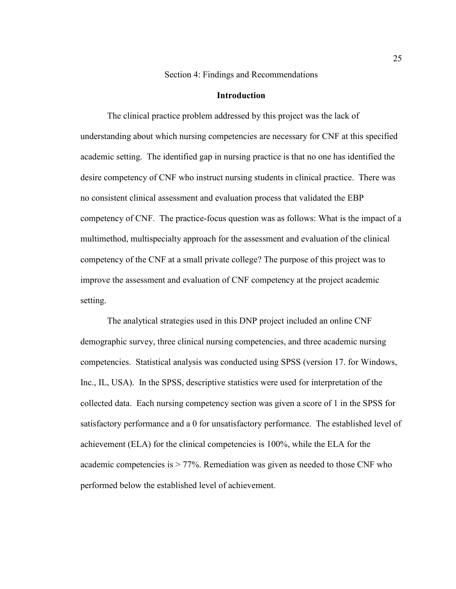Section 4: Findings and Recommendations

#### **Introduction**

The clinical practice problem addressed by this project was the lack of understanding about which nursing competencies are necessary for CNF at this specified academic setting. The identified gap in nursing practice is that no one has identified the desire competency of CNF who instruct nursing students in clinical practice. There was no consistent clinical assessment and evaluation process that validated the EBP competency of CNF. The practice-focus question was as follows: What is the impact of a multimethod, multispecialty approach for the assessment and evaluation of the clinical competency of the CNF at a small private college? The purpose of this project was to improve the assessment and evaluation of CNF competency at the project academic setting.

 The analytical strategies used in this DNP project included an online CNF demographic survey, three clinical nursing competencies, and three academic nursing competencies. Statistical analysis was conducted using SPSS (version 17. for Windows, Inc., IL, USA). In the SPSS, descriptive statistics were used for interpretation of the collected data. Each nursing competency section was given a score of 1 in the SPSS for satisfactory performance and a 0 for unsatisfactory performance. The established level of achievement (ELA) for the clinical competencies is 100%, while the ELA for the academic competencies is > 77%. Remediation was given as needed to those CNF who performed below the established level of achievement.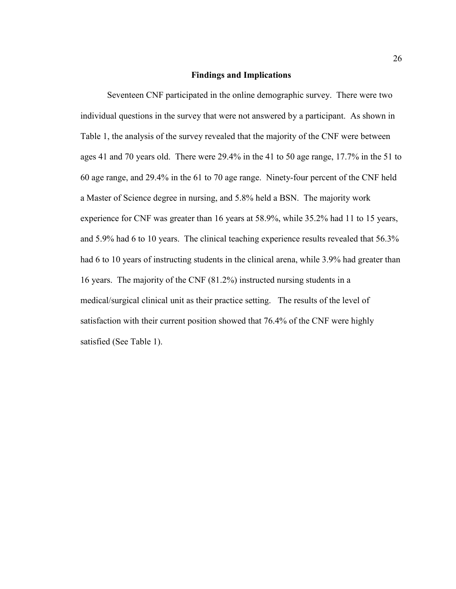### **Findings and Implications**

Seventeen CNF participated in the online demographic survey. There were two individual questions in the survey that were not answered by a participant. As shown in Table 1, the analysis of the survey revealed that the majority of the CNF were between ages 41 and 70 years old. There were 29.4% in the 41 to 50 age range, 17.7% in the 51 to 60 age range, and 29.4% in the 61 to 70 age range. Ninety-four percent of the CNF held a Master of Science degree in nursing, and 5.8% held a BSN. The majority work experience for CNF was greater than 16 years at 58.9%, while 35.2% had 11 to 15 years, and 5.9% had 6 to 10 years. The clinical teaching experience results revealed that 56.3% had 6 to 10 years of instructing students in the clinical arena, while 3.9% had greater than 16 years. The majority of the CNF (81.2%) instructed nursing students in a medical/surgical clinical unit as their practice setting. The results of the level of satisfaction with their current position showed that 76.4% of the CNF were highly satisfied (See Table 1).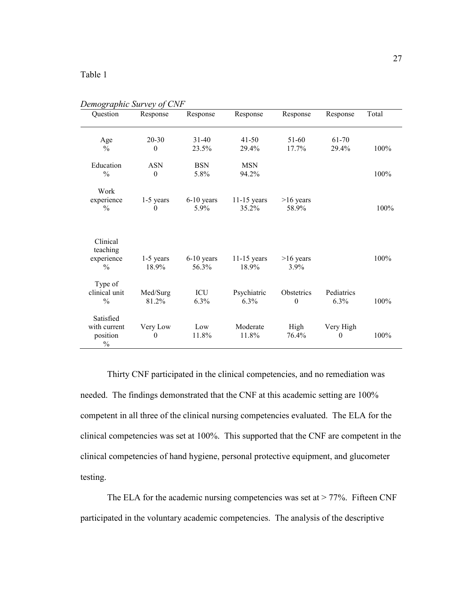### Table 1

| Demographic survey of Civr<br>Question                 | Response                    | Response              | Response               | Response                       | Response              | Total |
|--------------------------------------------------------|-----------------------------|-----------------------|------------------------|--------------------------------|-----------------------|-------|
| Age<br>$\frac{0}{0}$                                   | $20 - 30$<br>$\mathbf{0}$   | $31 - 40$<br>23.5%    | $41 - 50$<br>29.4%     | 51-60<br>17.7%                 | 61-70<br>29.4%        | 100%  |
| Education<br>$\frac{0}{0}$                             | <b>ASN</b><br>$\theta$      | <b>BSN</b><br>5.8%    | <b>MSN</b><br>94.2%    |                                |                       | 100%  |
| Work<br>experience<br>$\frac{0}{0}$                    | $1-5$ years<br>$\mathbf{0}$ | $6-10$ years<br>5.9%  | $11-15$ years<br>35.2% | $>16$ years<br>58.9%           |                       | 100%  |
| Clinical<br>teaching<br>experience<br>$\frac{0}{0}$    | $1-5$ years<br>18.9%        | $6-10$ years<br>56.3% | $11-15$ years<br>18.9% | $>16$ years<br>3.9%            |                       | 100%  |
| Type of<br>clinical unit<br>$\frac{0}{0}$              | Med/Surg<br>81.2%           | ICU<br>6.3%           | Psychiatric<br>6.3%    | Obstetrics<br>$\boldsymbol{0}$ | Pediatrics<br>6.3%    | 100%  |
| Satisfied<br>with current<br>position<br>$\frac{0}{0}$ | Very Low<br>$\theta$        | Low<br>11.8%          | Moderate<br>11.8%      | High<br>76.4%                  | Very High<br>$\theta$ | 100%  |

*Demographic Survey of CNF* 

Thirty CNF participated in the clinical competencies, and no remediation was needed. The findings demonstrated that the CNF at this academic setting are 100% competent in all three of the clinical nursing competencies evaluated. The ELA for the clinical competencies was set at 100%. This supported that the CNF are competent in the clinical competencies of hand hygiene, personal protective equipment, and glucometer testing.

The ELA for the academic nursing competencies was set at  $> 77\%$ . Fifteen CNF participated in the voluntary academic competencies. The analysis of the descriptive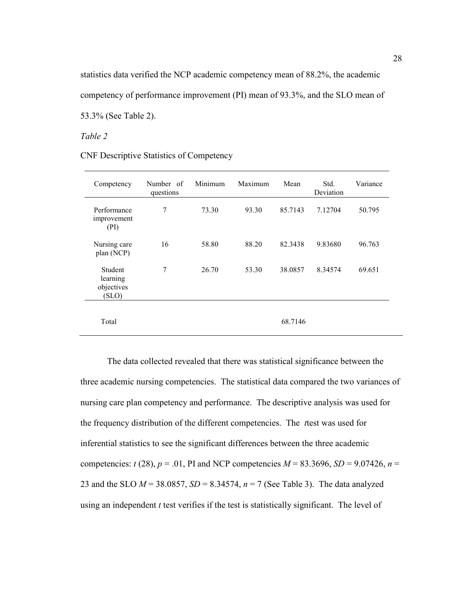statistics data verified the NCP academic competency mean of 88.2%, the academic competency of performance improvement (PI) mean of 93.3%, and the SLO mean of 53.3% (See Table 2).

*Table 2* 

CNF Descriptive Statistics of Competency

| Competency                                 | Number of<br>questions | Minimum | Maximum | Mean    | Std.<br>Deviation | Variance |
|--------------------------------------------|------------------------|---------|---------|---------|-------------------|----------|
| Performance<br>improvement<br>(PI)         | 7                      | 73.30   | 93.30   | 85.7143 | 7.12704           | 50.795   |
| Nursing care<br>plan (NCP)                 | 16                     | 58.80   | 88.20   | 82.3438 | 9.83680           | 96.763   |
| Student<br>learning<br>objectives<br>(SLO) | 7                      | 26.70   | 53.30   | 38.0857 | 8.34574           | 69.651   |
| Total                                      |                        |         |         | 68.7146 |                   |          |

The data collected revealed that there was statistical significance between the three academic nursing competencies. The statistical data compared the two variances of nursing care plan competency and performance. The descriptive analysis was used for the frequency distribution of the different competencies. The *t*test was used for inferential statistics to see the significant differences between the three academic competencies: *t* (28),  $p = .01$ , PI and NCP competencies  $M = 83.3696$ ,  $SD = 9.07426$ ,  $n =$ 23 and the SLO *M* = 38.0857, *SD* = 8.34574, *n* = 7 (See Table 3). The data analyzed using an independent *t* test verifies if the test is statistically significant. The level of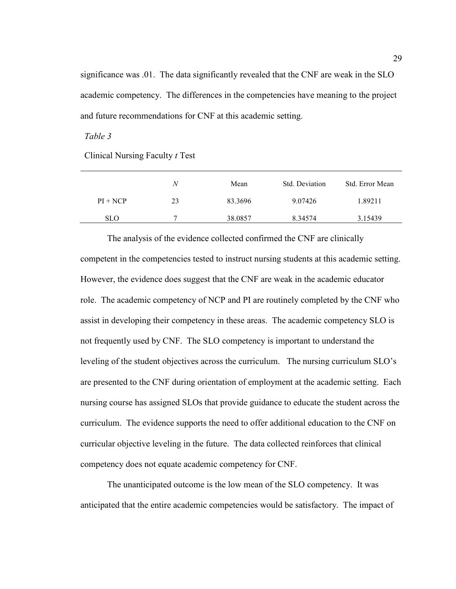significance was .01. The data significantly revealed that the CNF are weak in the SLO academic competency. The differences in the competencies have meaning to the project and future recommendations for CNF at this academic setting.

*Table 3* 

Clinical Nursing Faculty *t* Test

|            | N  | Mean    | Std. Deviation | Std. Error Mean |
|------------|----|---------|----------------|-----------------|
| $PI + NCP$ | 23 | 83.3696 | 9.07426        | 1.89211         |
| <b>SLO</b> |    | 38.0857 | 8.34574        | 3.15439         |

 The analysis of the evidence collected confirmed the CNF are clinically competent in the competencies tested to instruct nursing students at this academic setting. However, the evidence does suggest that the CNF are weak in the academic educator role. The academic competency of NCP and PI are routinely completed by the CNF who assist in developing their competency in these areas. The academic competency SLO is not frequently used by CNF. The SLO competency is important to understand the leveling of the student objectives across the curriculum. The nursing curriculum SLO's are presented to the CNF during orientation of employment at the academic setting. Each nursing course has assigned SLOs that provide guidance to educate the student across the curriculum. The evidence supports the need to offer additional education to the CNF on curricular objective leveling in the future. The data collected reinforces that clinical competency does not equate academic competency for CNF.

The unanticipated outcome is the low mean of the SLO competency. It was anticipated that the entire academic competencies would be satisfactory. The impact of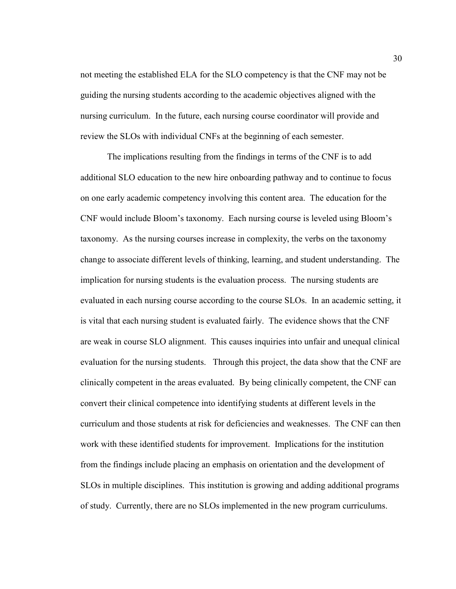not meeting the established ELA for the SLO competency is that the CNF may not be guiding the nursing students according to the academic objectives aligned with the nursing curriculum. In the future, each nursing course coordinator will provide and review the SLOs with individual CNFs at the beginning of each semester.

The implications resulting from the findings in terms of the CNF is to add additional SLO education to the new hire onboarding pathway and to continue to focus on one early academic competency involving this content area. The education for the CNF would include Bloom's taxonomy. Each nursing course is leveled using Bloom's taxonomy. As the nursing courses increase in complexity, the verbs on the taxonomy change to associate different levels of thinking, learning, and student understanding. The implication for nursing students is the evaluation process. The nursing students are evaluated in each nursing course according to the course SLOs. In an academic setting, it is vital that each nursing student is evaluated fairly. The evidence shows that the CNF are weak in course SLO alignment. This causes inquiries into unfair and unequal clinical evaluation for the nursing students. Through this project, the data show that the CNF are clinically competent in the areas evaluated. By being clinically competent, the CNF can convert their clinical competence into identifying students at different levels in the curriculum and those students at risk for deficiencies and weaknesses. The CNF can then work with these identified students for improvement. Implications for the institution from the findings include placing an emphasis on orientation and the development of SLOs in multiple disciplines. This institution is growing and adding additional programs of study. Currently, there are no SLOs implemented in the new program curriculums.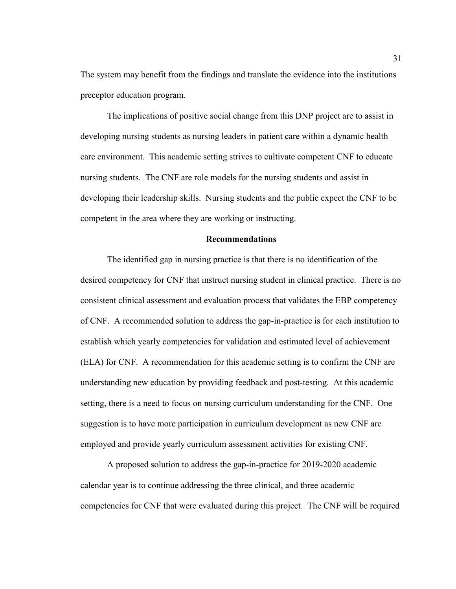The system may benefit from the findings and translate the evidence into the institutions preceptor education program.

The implications of positive social change from this DNP project are to assist in developing nursing students as nursing leaders in patient care within a dynamic health care environment. This academic setting strives to cultivate competent CNF to educate nursing students. The CNF are role models for the nursing students and assist in developing their leadership skills. Nursing students and the public expect the CNF to be competent in the area where they are working or instructing.

### **Recommendations**

The identified gap in nursing practice is that there is no identification of the desired competency for CNF that instruct nursing student in clinical practice. There is no consistent clinical assessment and evaluation process that validates the EBP competency of CNF. A recommended solution to address the gap-in-practice is for each institution to establish which yearly competencies for validation and estimated level of achievement (ELA) for CNF. A recommendation for this academic setting is to confirm the CNF are understanding new education by providing feedback and post-testing. At this academic setting, there is a need to focus on nursing curriculum understanding for the CNF. One suggestion is to have more participation in curriculum development as new CNF are employed and provide yearly curriculum assessment activities for existing CNF.

A proposed solution to address the gap-in-practice for 2019-2020 academic calendar year is to continue addressing the three clinical, and three academic competencies for CNF that were evaluated during this project. The CNF will be required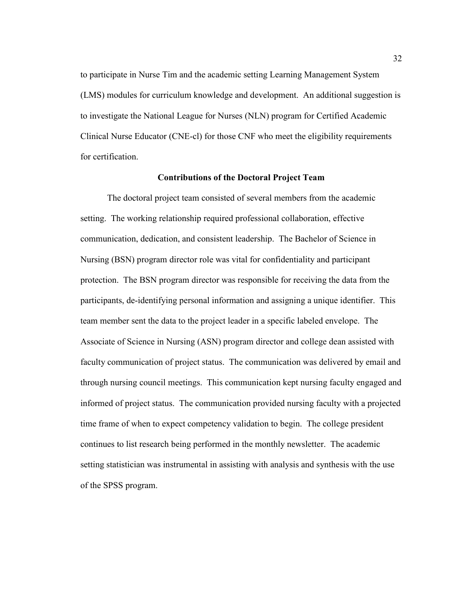to participate in Nurse Tim and the academic setting Learning Management System (LMS) modules for curriculum knowledge and development. An additional suggestion is to investigate the National League for Nurses (NLN) program for Certified Academic Clinical Nurse Educator (CNE-cl) for those CNF who meet the eligibility requirements for certification.

### **Contributions of the Doctoral Project Team**

The doctoral project team consisted of several members from the academic setting. The working relationship required professional collaboration, effective communication, dedication, and consistent leadership. The Bachelor of Science in Nursing (BSN) program director role was vital for confidentiality and participant protection. The BSN program director was responsible for receiving the data from the participants, de-identifying personal information and assigning a unique identifier. This team member sent the data to the project leader in a specific labeled envelope. The Associate of Science in Nursing (ASN) program director and college dean assisted with faculty communication of project status. The communication was delivered by email and through nursing council meetings. This communication kept nursing faculty engaged and informed of project status. The communication provided nursing faculty with a projected time frame of when to expect competency validation to begin. The college president continues to list research being performed in the monthly newsletter. The academic setting statistician was instrumental in assisting with analysis and synthesis with the use of the SPSS program.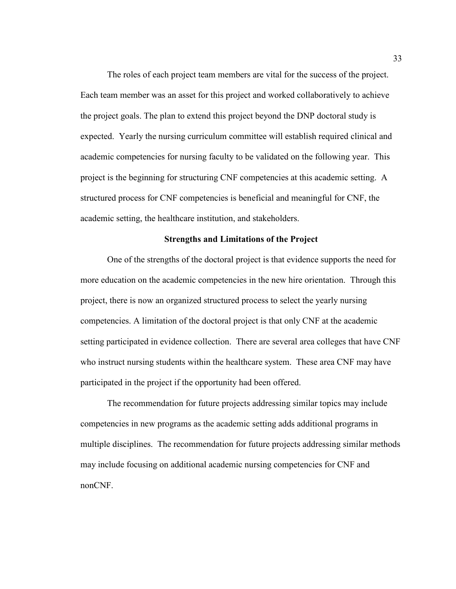The roles of each project team members are vital for the success of the project. Each team member was an asset for this project and worked collaboratively to achieve the project goals. The plan to extend this project beyond the DNP doctoral study is expected. Yearly the nursing curriculum committee will establish required clinical and academic competencies for nursing faculty to be validated on the following year. This project is the beginning for structuring CNF competencies at this academic setting. A structured process for CNF competencies is beneficial and meaningful for CNF, the academic setting, the healthcare institution, and stakeholders.

### **Strengths and Limitations of the Project**

One of the strengths of the doctoral project is that evidence supports the need for more education on the academic competencies in the new hire orientation. Through this project, there is now an organized structured process to select the yearly nursing competencies. A limitation of the doctoral project is that only CNF at the academic setting participated in evidence collection. There are several area colleges that have CNF who instruct nursing students within the healthcare system. These area CNF may have participated in the project if the opportunity had been offered.

The recommendation for future projects addressing similar topics may include competencies in new programs as the academic setting adds additional programs in multiple disciplines. The recommendation for future projects addressing similar methods may include focusing on additional academic nursing competencies for CNF and nonCNF.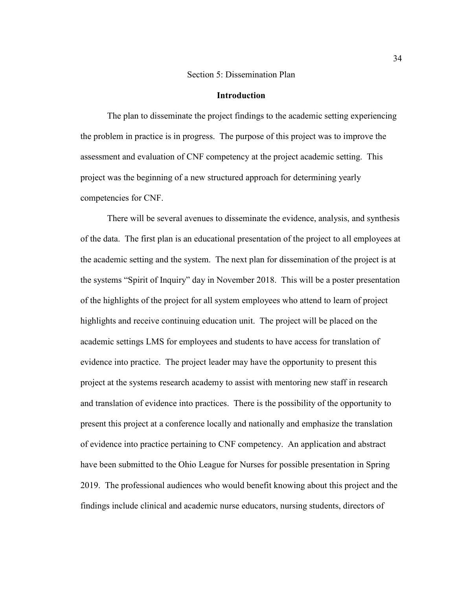### Section 5: Dissemination Plan

### **Introduction**

The plan to disseminate the project findings to the academic setting experiencing the problem in practice is in progress. The purpose of this project was to improve the assessment and evaluation of CNF competency at the project academic setting. This project was the beginning of a new structured approach for determining yearly competencies for CNF.

There will be several avenues to disseminate the evidence, analysis, and synthesis of the data. The first plan is an educational presentation of the project to all employees at the academic setting and the system. The next plan for dissemination of the project is at the systems "Spirit of Inquiry" day in November 2018. This will be a poster presentation of the highlights of the project for all system employees who attend to learn of project highlights and receive continuing education unit. The project will be placed on the academic settings LMS for employees and students to have access for translation of evidence into practice. The project leader may have the opportunity to present this project at the systems research academy to assist with mentoring new staff in research and translation of evidence into practices. There is the possibility of the opportunity to present this project at a conference locally and nationally and emphasize the translation of evidence into practice pertaining to CNF competency. An application and abstract have been submitted to the Ohio League for Nurses for possible presentation in Spring 2019. The professional audiences who would benefit knowing about this project and the findings include clinical and academic nurse educators, nursing students, directors of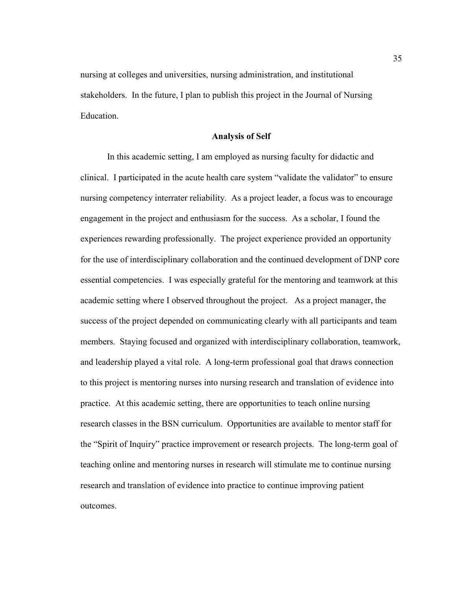nursing at colleges and universities, nursing administration, and institutional stakeholders. In the future, I plan to publish this project in the Journal of Nursing **Education** 

### **Analysis of Self**

In this academic setting, I am employed as nursing faculty for didactic and clinical. I participated in the acute health care system "validate the validator" to ensure nursing competency interrater reliability. As a project leader, a focus was to encourage engagement in the project and enthusiasm for the success. As a scholar, I found the experiences rewarding professionally. The project experience provided an opportunity for the use of interdisciplinary collaboration and the continued development of DNP core essential competencies. I was especially grateful for the mentoring and teamwork at this academic setting where I observed throughout the project. As a project manager, the success of the project depended on communicating clearly with all participants and team members. Staying focused and organized with interdisciplinary collaboration, teamwork, and leadership played a vital role. A long-term professional goal that draws connection to this project is mentoring nurses into nursing research and translation of evidence into practice. At this academic setting, there are opportunities to teach online nursing research classes in the BSN curriculum. Opportunities are available to mentor staff for the "Spirit of Inquiry" practice improvement or research projects. The long-term goal of teaching online and mentoring nurses in research will stimulate me to continue nursing research and translation of evidence into practice to continue improving patient outcomes.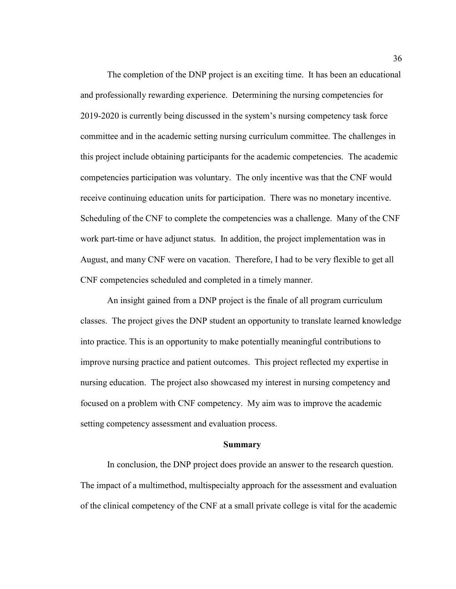The completion of the DNP project is an exciting time. It has been an educational and professionally rewarding experience. Determining the nursing competencies for 2019-2020 is currently being discussed in the system's nursing competency task force committee and in the academic setting nursing curriculum committee. The challenges in this project include obtaining participants for the academic competencies. The academic competencies participation was voluntary. The only incentive was that the CNF would receive continuing education units for participation. There was no monetary incentive. Scheduling of the CNF to complete the competencies was a challenge. Many of the CNF work part-time or have adjunct status. In addition, the project implementation was in August, and many CNF were on vacation. Therefore, I had to be very flexible to get all CNF competencies scheduled and completed in a timely manner.

An insight gained from a DNP project is the finale of all program curriculum classes. The project gives the DNP student an opportunity to translate learned knowledge into practice. This is an opportunity to make potentially meaningful contributions to improve nursing practice and patient outcomes. This project reflected my expertise in nursing education. The project also showcased my interest in nursing competency and focused on a problem with CNF competency. My aim was to improve the academic setting competency assessment and evaluation process.

### **Summary**

In conclusion, the DNP project does provide an answer to the research question. The impact of a multimethod, multispecialty approach for the assessment and evaluation of the clinical competency of the CNF at a small private college is vital for the academic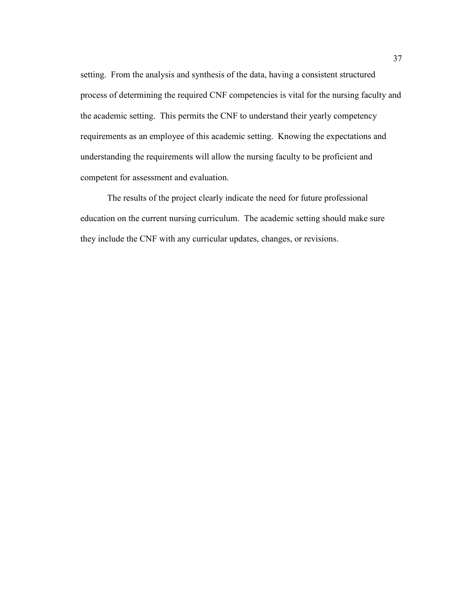setting. From the analysis and synthesis of the data, having a consistent structured process of determining the required CNF competencies is vital for the nursing faculty and the academic setting. This permits the CNF to understand their yearly competency requirements as an employee of this academic setting. Knowing the expectations and understanding the requirements will allow the nursing faculty to be proficient and competent for assessment and evaluation.

The results of the project clearly indicate the need for future professional education on the current nursing curriculum. The academic setting should make sure they include the CNF with any curricular updates, changes, or revisions.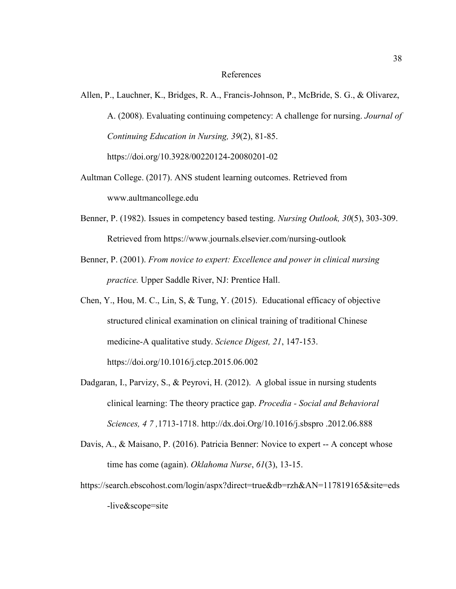#### References

- Allen, P., Lauchner, K., Bridges, R. A., Francis-Johnson, P., McBride, S. G., & Olivarez, A. (2008). Evaluating continuing competency: A challenge for nursing. *Journal of Continuing Education in Nursing, 39*(2), 81-85. https://doi.org/10.3928/00220124-20080201-02
- Aultman College. (2017). ANS student learning outcomes. Retrieved from www.aultmancollege.edu
- Benner, P. (1982). Issues in competency based testing. *Nursing Outlook, 30*(5), 303-309. Retrieved from https://www.journals.elsevier.com/nursing-outlook
- Benner, P. (2001). *From novice to expert: Excellence and power in clinical nursing practice.* Upper Saddle River, NJ: Prentice Hall.
- Chen, Y., Hou, M. C., Lin, S, & Tung, Y. (2015). Educational efficacy of objective structured clinical examination on clinical training of traditional Chinese medicine-A qualitative study. *Science Digest, 21*, 147-153. https://doi.org/10.1016/j.ctcp.2015.06.002
- Dadgaran, I., Parvizy, S., & Peyrovi, H. (2012). A global issue in nursing students clinical learning: The theory practice gap. *Procedia - Social and Behavioral Sciences, 4 7 ,*1713-1718. http://dx.doi.Org/10.1016/j.sbspro .2012.06.888
- Davis, A., & Maisano, P. (2016). Patricia Benner: Novice to expert -- A concept whose time has come (again). *Oklahoma Nurse*, *61*(3), 13-15.
- https://search.ebscohost.com/login/aspx?direct=true&db=rzh&AN=117819165&site=eds -live&scope=site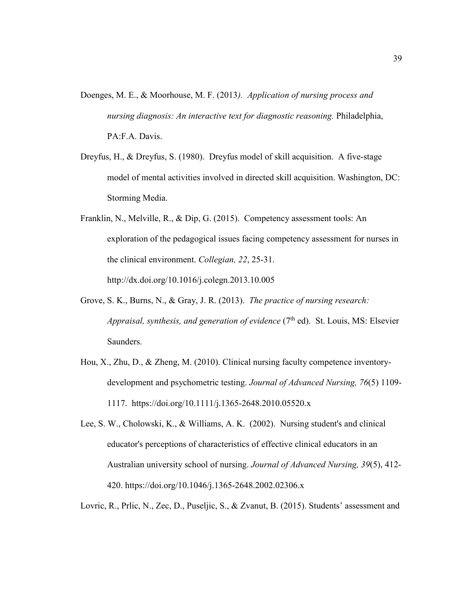- Doenges, M. E., & Moorhouse, M. F. (2013*). Application of nursing process and nursing diagnosis: An interactive text for diagnostic reasoning.* Philadelphia, PA:F.A. Davis.
- Dreyfus, H., & Dreyfus, S. (1980). Dreyfus model of skill acquisition. A five-stage model of mental activities involved in directed skill acquisition. Washington, DC: Storming Media.
- Franklin, N., Melville, R., & Dip, G. (2015). Competency assessment tools: An exploration of the pedagogical issues facing competency assessment for nurses in the clinical environment. *Collegian, 22*, 25-31. http://dx.doi.org/10.1016/j.colegn.2013.10.005
- Grove, S. K., Burns, N., & Gray, J. R. (2013). *The practice of nursing research: Appraisal, synthesis, and generation of evidence*  $(7<sup>th</sup>$  ed). St. Louis, MS: Elsevier Saunders.
- Hou, X., Zhu, D., & Zheng, M. (2010). Clinical nursing faculty competence inventorydevelopment and psychometric testing. *Journal of Advanced Nursing, 76*(5) 1109- 1117. https://doi.org/10.1111/j.1365-2648.2010.05520.x
- Lee, S. W., Cholowski, K., & Williams, A. K. (2002). Nursing student's and clinical educator's perceptions of characteristics of effective clinical educators in an Australian university school of nursing. *Journal of Advanced Nursing, 39*(5), 412- 420. https://doi.org/10.1046/j.1365-2648.2002.02306.x

Lovric, R., Prlic, N., Zec, D., Puseljic, S., & Zvanut, B. (2015). Students' assessment and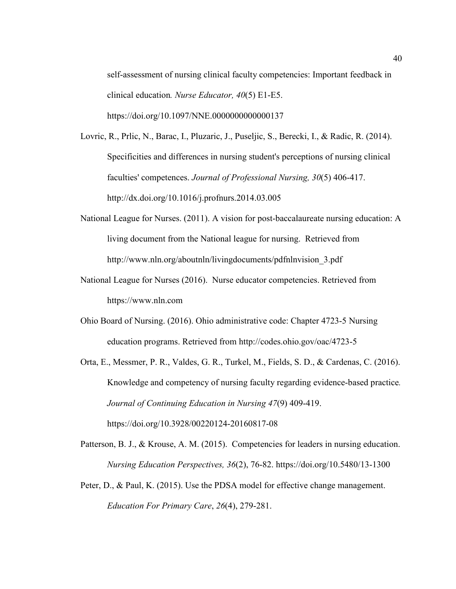self-assessment of nursing clinical faculty competencies: Important feedback in clinical education*. Nurse Educator, 40*(5) E1-E5. https://doi.org/10.1097/NNE.0000000000000137

Lovric, R., Prlic, N., Barac, I., Pluzaric, J., Puseljic, S., Berecki, I., & Radic, R. (2014). Specificities and differences in nursing student's perceptions of nursing clinical faculties' competences. *Journal of Professional Nursing, 30*(5) 406-417. http://dx.doi.org/10.1016/j.profnurs.2014.03.005

- National League for Nurses. (2011). A vision for post-baccalaureate nursing education: A living document from the National league for nursing. Retrieved from http://www.nln.org/aboutnln/livingdocuments/pdfnlnvision\_3.pdf
- National League for Nurses (2016). Nurse educator competencies. Retrieved from https://www.nln.com
- Ohio Board of Nursing. (2016). Ohio administrative code: Chapter 4723-5 Nursing education programs. Retrieved from http://codes.ohio.gov/oac/4723-5

Orta, E., Messmer, P. R., Valdes, G. R., Turkel, M., Fields, S. D., & Cardenas, C. (2016). Knowledge and competency of nursing faculty regarding evidence-based practice*. Journal of Continuing Education in Nursing 47*(9) 409-419. https://doi.org/10.3928/00220124-20160817-08

- Patterson, B. J., & Krouse, A. M. (2015). Competencies for leaders in nursing education. *Nursing Education Perspectives, 36*(2), 76-82. https://doi.org/10.5480/13-1300
- Peter, D., & Paul, K. (2015). Use the PDSA model for effective change management. *Education For Primary Care*, *26*(4), 279-281.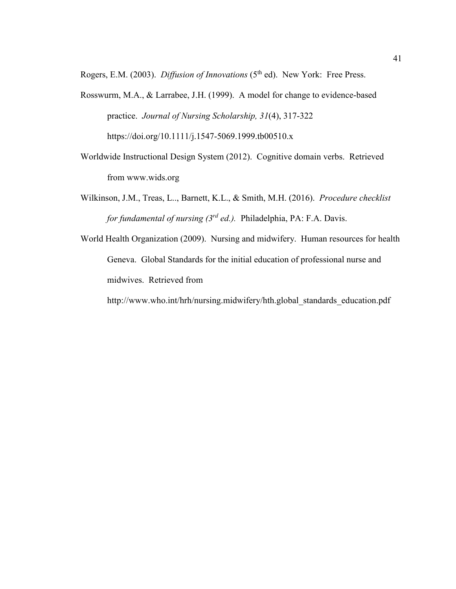Rogers, E.M. (2003). *Diffusion of Innovations* (5<sup>th</sup> ed). New York: Free Press.

- Rosswurm, M.A., & Larrabee, J.H. (1999). A model for change to evidence-based practice. *Journal of Nursing Scholarship, 31*(4), 317-322 https://doi.org/10.1111/j.1547-5069.1999.tb00510.x
- Worldwide Instructional Design System (2012). Cognitive domain verbs. Retrieved from www.wids.org
- Wilkinson, J.M., Treas, L.., Barnett, K.L., & Smith, M.H. (2016). *Procedure checklist for fundamental of nursing (3rd ed.).* Philadelphia, PA: F.A. Davis.
- World Health Organization (2009). Nursing and midwifery. Human resources for health Geneva. Global Standards for the initial education of professional nurse and midwives. Retrieved from

http://www.who.int/hrh/nursing.midwifery/hth.global\_standards\_education.pdf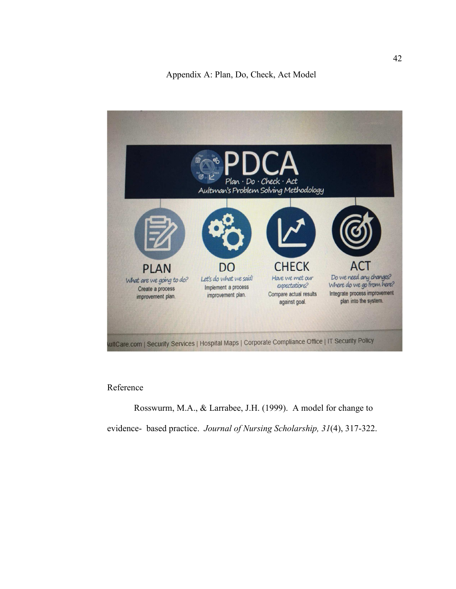

### Reference

Rosswurm, M.A., & Larrabee, J.H. (1999). A model for change to evidence- based practice. *Journal of Nursing Scholarship, 31*(4), 317-322.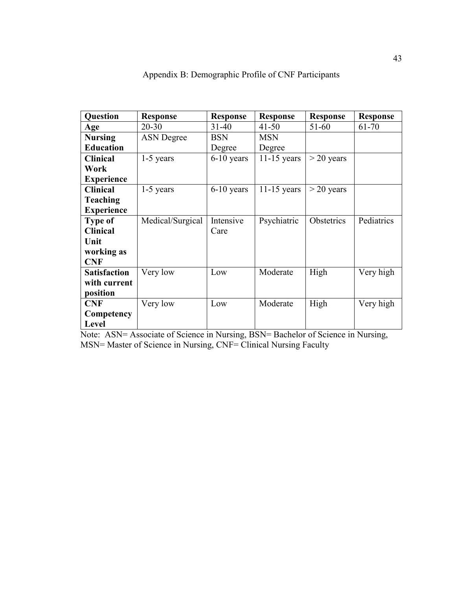| <b>Question</b>     | <b>Response</b>   | <b>Response</b> | <b>Response</b> | <b>Response</b> | <b>Response</b> |
|---------------------|-------------------|-----------------|-----------------|-----------------|-----------------|
| Age                 | $20 - 30$         | $31 - 40$       | $41 - 50$       | $51 - 60$       | 61-70           |
| <b>Nursing</b>      | <b>ASN</b> Degree | <b>BSN</b>      | <b>MSN</b>      |                 |                 |
| <b>Education</b>    |                   | Degree          | Degree          |                 |                 |
| <b>Clinical</b>     | $1-5$ years       | $6-10$ years    | $11-15$ years   | $>$ 20 years    |                 |
| Work                |                   |                 |                 |                 |                 |
| <b>Experience</b>   |                   |                 |                 |                 |                 |
| <b>Clinical</b>     | 1-5 years         | $6-10$ years    | $11-15$ years   | $>$ 20 years    |                 |
| <b>Teaching</b>     |                   |                 |                 |                 |                 |
| <b>Experience</b>   |                   |                 |                 |                 |                 |
| <b>Type of</b>      | Medical/Surgical  | Intensive       | Psychiatric     | Obstetrics      | Pediatrics      |
| <b>Clinical</b>     |                   | Care            |                 |                 |                 |
| Unit                |                   |                 |                 |                 |                 |
| working as          |                   |                 |                 |                 |                 |
| <b>CNF</b>          |                   |                 |                 |                 |                 |
| <b>Satisfaction</b> | Very low          | Low             | Moderate        | High            | Very high       |
| with current        |                   |                 |                 |                 |                 |
| position            |                   |                 |                 |                 |                 |
| <b>CNF</b>          | Very low          | Low             | Moderate        | High            | Very high       |
| Competency          |                   |                 |                 |                 |                 |
| Level               |                   |                 |                 |                 |                 |

Appendix B: Demographic Profile of CNF Participants

Note: ASN= Associate of Science in Nursing, BSN= Bachelor of Science in Nursing, MSN= Master of Science in Nursing, CNF= Clinical Nursing Faculty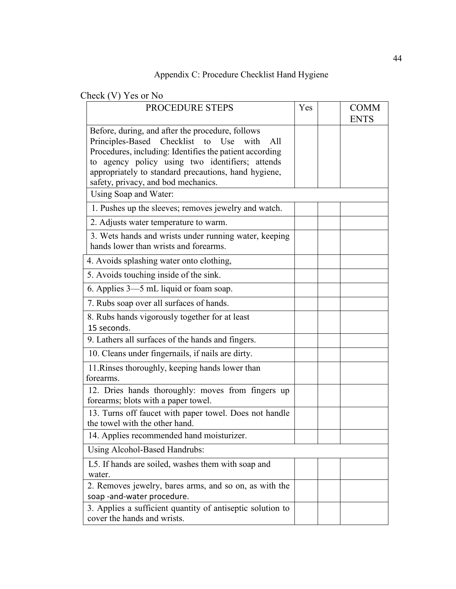## Appendix C: Procedure Checklist Hand Hygiene

Check (V) Yes or No

| $\sim$ $\sim$ $\sim$ $\sim$ $\sim$ $\sim$<br><b>PROCEDURE STEPS</b>                                                                                                                                                                                                                                               | Yes | <b>COMM</b><br><b>ENTS</b> |
|-------------------------------------------------------------------------------------------------------------------------------------------------------------------------------------------------------------------------------------------------------------------------------------------------------------------|-----|----------------------------|
| Before, during, and after the procedure, follows<br>Principles-Based Checklist to Use<br>with<br>All<br>Procedures, including: Identifies the patient according<br>to agency policy using two identifiers; attends<br>appropriately to standard precautions, hand hygiene,<br>safety, privacy, and bod mechanics. |     |                            |
| Using Soap and Water:                                                                                                                                                                                                                                                                                             |     |                            |
| 1. Pushes up the sleeves; removes jewelry and watch.                                                                                                                                                                                                                                                              |     |                            |
| 2. Adjusts water temperature to warm.                                                                                                                                                                                                                                                                             |     |                            |
| 3. Wets hands and wrists under running water, keeping<br>hands lower than wrists and forearms.                                                                                                                                                                                                                    |     |                            |
| 4. Avoids splashing water onto clothing,                                                                                                                                                                                                                                                                          |     |                            |
| 5. Avoids touching inside of the sink.                                                                                                                                                                                                                                                                            |     |                            |
| 6. Applies 3—5 mL liquid or foam soap.                                                                                                                                                                                                                                                                            |     |                            |
| 7. Rubs soap over all surfaces of hands.                                                                                                                                                                                                                                                                          |     |                            |
| 8. Rubs hands vigorously together for at least<br>15 seconds.                                                                                                                                                                                                                                                     |     |                            |
| 9. Lathers all surfaces of the hands and fingers.                                                                                                                                                                                                                                                                 |     |                            |
| 10. Cleans under fingernails, if nails are dirty.                                                                                                                                                                                                                                                                 |     |                            |
| 11. Rinses thoroughly, keeping hands lower than<br>forearms.                                                                                                                                                                                                                                                      |     |                            |
| 12. Dries hands thoroughly: moves from fingers up<br>forearms; blots with a paper towel.                                                                                                                                                                                                                          |     |                            |
| 13. Turns off faucet with paper towel. Does not handle<br>the towel with the other hand.                                                                                                                                                                                                                          |     |                            |
| 14. Applies recommended hand moisturizer.                                                                                                                                                                                                                                                                         |     |                            |
| Using Alcohol-Based Handrubs:                                                                                                                                                                                                                                                                                     |     |                            |
| L5. If hands are soiled, washes them with soap and<br>water.                                                                                                                                                                                                                                                      |     |                            |
| 2. Removes jewelry, bares arms, and so on, as with the<br>soap -and-water procedure.                                                                                                                                                                                                                              |     |                            |
| 3. Applies a sufficient quantity of antiseptic solution to<br>cover the hands and wrists.                                                                                                                                                                                                                         |     |                            |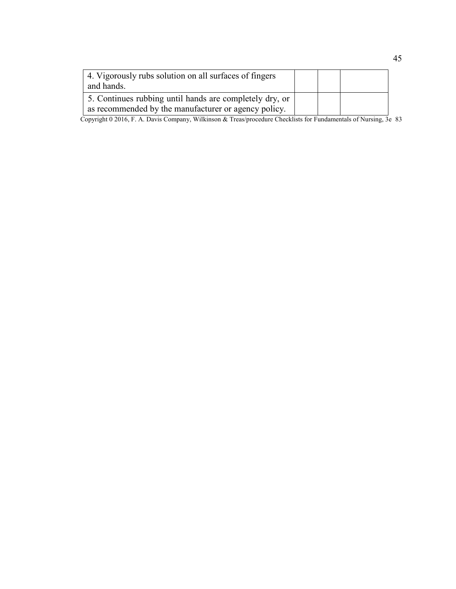| 4. Vigorously rubs solution on all surfaces of fingers<br>and hands.                                            |  |  |
|-----------------------------------------------------------------------------------------------------------------|--|--|
| 5. Continues rubbing until hands are completely dry, or<br>as recommended by the manufacturer or agency policy. |  |  |

Copyright 0 2016, F. A. Davis Company, Wilkinson & Treas/procedure Checklists for Fundamentals of Nursing, 3e 83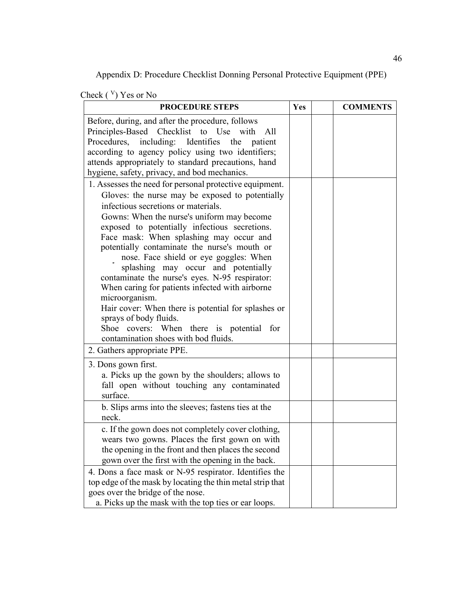Appendix D: Procedure Checklist Donning Personal Protective Equipment (PPE)

|  | Check $(\vee)$ Yes or No |  |
|--|--------------------------|--|
|--|--------------------------|--|

| <b>PROCEDURE STEPS</b>                                                                               | Yes | <b>COMMENTS</b> |
|------------------------------------------------------------------------------------------------------|-----|-----------------|
| Before, during, and after the procedure, follows<br>Principles-Based Checklist to Use with<br>All    |     |                 |
| Procedures, including: Identifies the<br>patient                                                     |     |                 |
| according to agency policy using two identifiers;                                                    |     |                 |
| attends appropriately to standard precautions, hand<br>hygiene, safety, privacy, and bod mechanics.  |     |                 |
| 1. Assesses the need for personal protective equipment.                                              |     |                 |
| Gloves: the nurse may be exposed to potentially                                                      |     |                 |
| infectious secretions or materials.                                                                  |     |                 |
| Gowns: When the nurse's uniform may become                                                           |     |                 |
| exposed to potentially infectious secretions.<br>Face mask: When splashing may occur and             |     |                 |
| potentially contaminate the nurse's mouth or                                                         |     |                 |
| nose. Face shield or eye goggles: When                                                               |     |                 |
| splashing may occur and potentially                                                                  |     |                 |
| contaminate the nurse's eyes. N-95 respirator:<br>When caring for patients infected with airborne    |     |                 |
| microorganism.                                                                                       |     |                 |
| Hair cover: When there is potential for splashes or                                                  |     |                 |
| sprays of body fluids.                                                                               |     |                 |
| Shoe covers: When there is potential for<br>contamination shoes with bod fluids.                     |     |                 |
| 2. Gathers appropriate PPE.                                                                          |     |                 |
|                                                                                                      |     |                 |
| 3. Dons gown first.<br>a. Picks up the gown by the shoulders; allows to                              |     |                 |
| fall open without touching any contaminated                                                          |     |                 |
| surface.                                                                                             |     |                 |
| b. Slips arms into the sleeves; fastens ties at the                                                  |     |                 |
| neck.                                                                                                |     |                 |
| c. If the gown does not completely cover clothing,<br>wears two gowns. Places the first gown on with |     |                 |
| the opening in the front and then places the second                                                  |     |                 |
| gown over the first with the opening in the back.                                                    |     |                 |
| 4. Dons a face mask or N-95 respirator. Identifies the                                               |     |                 |
| top edge of the mask by locating the thin metal strip that                                           |     |                 |
| goes over the bridge of the nose.<br>a. Picks up the mask with the top ties or ear loops.            |     |                 |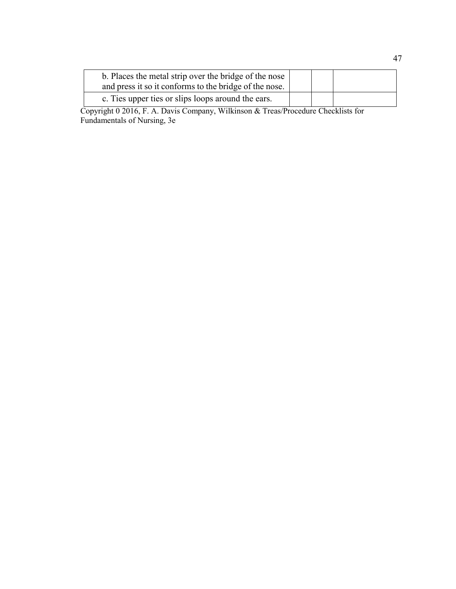| b. Places the metal strip over the bridge of the nose<br>and press it so it conforms to the bridge of the nose. |  |  |
|-----------------------------------------------------------------------------------------------------------------|--|--|
| c. Ties upper ties or slips loops around the ears.                                                              |  |  |

Copyright 0 2016, F. A. Davis Company, Wilkinson & Treas/Procedure Checklists for Fundamentals of Nursing, 3e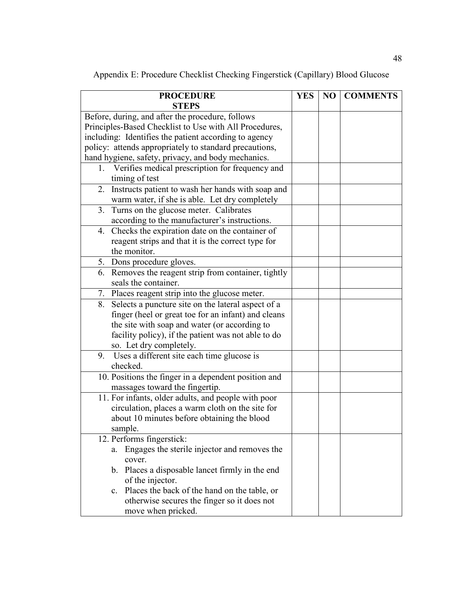Appendix E: Procedure Checklist Checking Fingerstick (Capillary) Blood Glucose

| <b>PROCEDURE</b>                                               | <b>YES</b> | N <sub>O</sub> | <b>COMMENTS</b> |
|----------------------------------------------------------------|------------|----------------|-----------------|
| <b>STEPS</b>                                                   |            |                |                 |
| Before, during, and after the procedure, follows               |            |                |                 |
| Principles-Based Checklist to Use with All Procedures,         |            |                |                 |
| including: Identifies the patient according to agency          |            |                |                 |
| policy: attends appropriately to standard precautions,         |            |                |                 |
| hand hygiene, safety, privacy, and body mechanics.             |            |                |                 |
| 1. Verifies medical prescription for frequency and             |            |                |                 |
| timing of test                                                 |            |                |                 |
| 2. Instructs patient to wash her hands with soap and           |            |                |                 |
| warm water, if she is able. Let dry completely                 |            |                |                 |
| Turns on the glucose meter. Calibrates<br>3.                   |            |                |                 |
| according to the manufacturer's instructions.                  |            |                |                 |
| 4. Checks the expiration date on the container of              |            |                |                 |
| reagent strips and that it is the correct type for             |            |                |                 |
| the monitor.                                                   |            |                |                 |
| 5. Dons procedure gloves.                                      |            |                |                 |
| 6. Removes the reagent strip from container, tightly           |            |                |                 |
| seals the container.                                           |            |                |                 |
| 7. Places reagent strip into the glucose meter.                |            |                |                 |
| Selects a puncture site on the lateral aspect of a<br>8.       |            |                |                 |
| finger (heel or great toe for an infant) and cleans            |            |                |                 |
| the site with soap and water (or according to                  |            |                |                 |
| facility policy), if the patient was not able to do            |            |                |                 |
| so. Let dry completely.                                        |            |                |                 |
| Uses a different site each time glucose is<br>9.               |            |                |                 |
| checked.                                                       |            |                |                 |
| 10. Positions the finger in a dependent position and           |            |                |                 |
| massages toward the fingertip.                                 |            |                |                 |
| 11. For infants, older adults, and people with poor            |            |                |                 |
| circulation, places a warm cloth on the site for               |            |                |                 |
| about 10 minutes before obtaining the blood                    |            |                |                 |
| sample.                                                        |            |                |                 |
| 12. Performs fingerstick:                                      |            |                |                 |
| Engages the sterile injector and removes the<br>a.             |            |                |                 |
| cover.<br>b. Places a disposable lancet firmly in the end      |            |                |                 |
| of the injector.                                               |            |                |                 |
|                                                                |            |                |                 |
| Places the back of the hand on the table, or<br>$\mathbf{c}$ . |            |                |                 |
| otherwise secures the finger so it does not                    |            |                |                 |
| move when pricked.                                             |            |                |                 |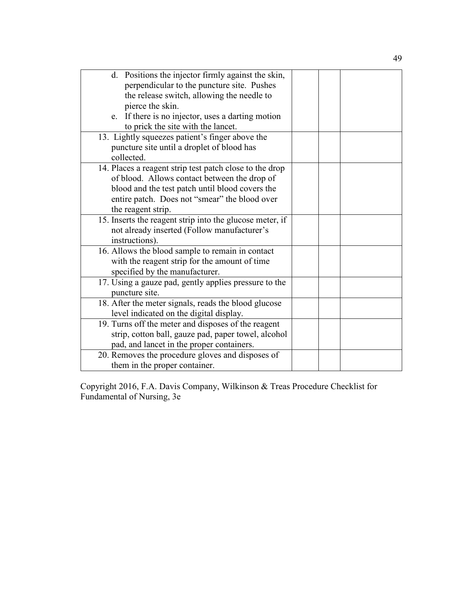| d. Positions the injector firmly against the skin,       |  |
|----------------------------------------------------------|--|
| perpendicular to the puncture site. Pushes               |  |
| the release switch, allowing the needle to               |  |
| pierce the skin.                                         |  |
| e. If there is no injector, uses a darting motion        |  |
| to prick the site with the lancet.                       |  |
| 13. Lightly squeezes patient's finger above the          |  |
| puncture site until a droplet of blood has               |  |
| collected.                                               |  |
| 14. Places a reagent strip test patch close to the drop  |  |
| of blood. Allows contact between the drop of             |  |
| blood and the test patch until blood covers the          |  |
| entire patch. Does not "smear" the blood over            |  |
| the reagent strip.                                       |  |
| 15. Inserts the reagent strip into the glucose meter, if |  |
| not already inserted (Follow manufacturer's              |  |
| instructions).                                           |  |
| 16. Allows the blood sample to remain in contact         |  |
| with the reagent strip for the amount of time            |  |
| specified by the manufacturer.                           |  |
| 17. Using a gauze pad, gently applies pressure to the    |  |
| puncture site.                                           |  |
| 18. After the meter signals, reads the blood glucose     |  |
| level indicated on the digital display.                  |  |
| 19. Turns off the meter and disposes of the reagent      |  |
| strip, cotton ball, gauze pad, paper towel, alcohol      |  |
| pad, and lancet in the proper containers.                |  |
| 20. Removes the procedure gloves and disposes of         |  |
| them in the proper container.                            |  |

Copyright 2016, F.A. Davis Company, Wilkinson & Treas Procedure Checklist for Fundamental of Nursing, 3e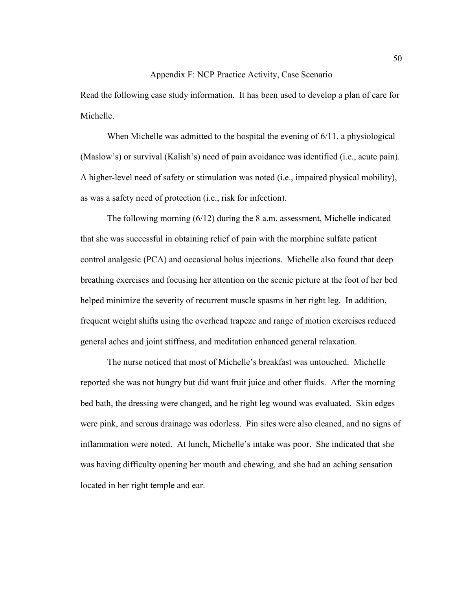### Appendix F: NCP Practice Activity, Case Scenario

Read the following case study information. It has been used to develop a plan of care for Michelle.

When Michelle was admitted to the hospital the evening of 6/11, a physiological (Maslow's) or survival (Kalish's) need of pain avoidance was identified (i.e., acute pain). A higher-level need of safety or stimulation was noted (i.e., impaired physical mobility), as was a safety need of protection (i.e., risk for infection).

The following morning  $(6/12)$  during the 8 a.m. assessment, Michelle indicated that she was successful in obtaining relief of pain with the morphine sulfate patient control analgesic (PCA) and occasional bolus injections. Michelle also found that deep breathing exercises and focusing her attention on the scenic picture at the foot of her bed helped minimize the severity of recurrent muscle spasms in her right leg. In addition, frequent weight shifts using the overhead trapeze and range of motion exercises reduced general aches and joint stiffness, and meditation enhanced general relaxation.

The nurse noticed that most of Michelle's breakfast was untouched. Michelle reported she was not hungry but did want fruit juice and other fluids. After the morning bed bath, the dressing were changed, and he right leg wound was evaluated. Skin edges were pink, and serous drainage was odorless. Pin sites were also cleaned, and no signs of inflammation were noted. At lunch, Michelle's intake was poor. She indicated that she was having difficulty opening her mouth and chewing, and she had an aching sensation located in her right temple and ear.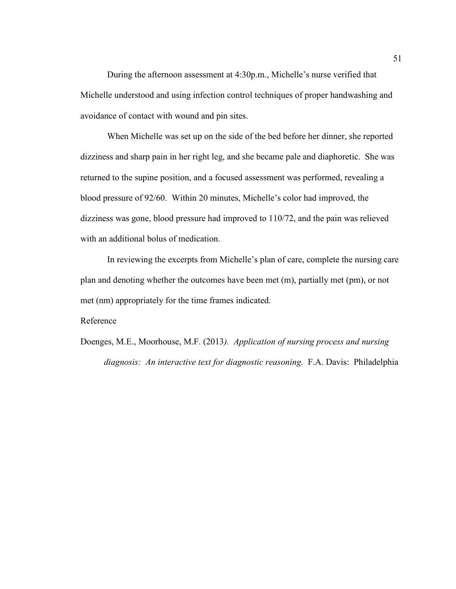During the afternoon assessment at 4:30p.m., Michelle's nurse verified that Michelle understood and using infection control techniques of proper handwashing and avoidance of contact with wound and pin sites.

When Michelle was set up on the side of the bed before her dinner, she reported dizziness and sharp pain in her right leg, and she became pale and diaphoretic. She was returned to the supine position, and a focused assessment was performed, revealing a blood pressure of 92/60. Within 20 minutes, Michelle's color had improved, the dizziness was gone, blood pressure had improved to 110/72, and the pain was relieved with an additional bolus of medication.

In reviewing the excerpts from Michelle's plan of care, complete the nursing care plan and denoting whether the outcomes have been met (m), partially met (pm), or not met (nm) appropriately for the time frames indicated.

Reference

Doenges, M.E., Moorhouse, M.F. (2013*). Application of nursing process and nursing diagnosis: An interactive text for diagnostic reasoning.* F.A. Davis: Philadelphia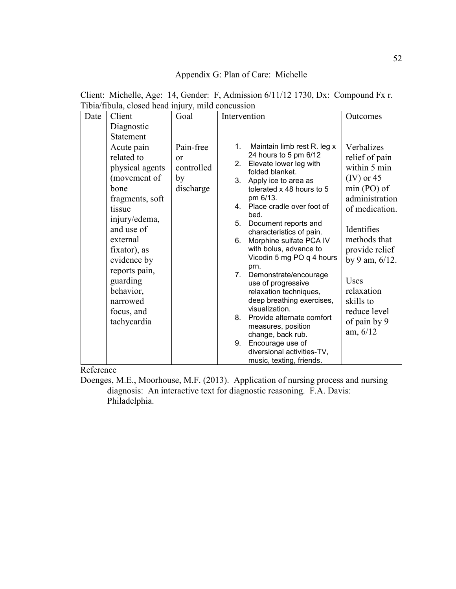## Appendix G: Plan of Care: Michelle

| Date | Client                                                                                                                                                                                                                                                        | Goal                                                   | Intervention                                             |                                                                                                                                                                                                                                                                                                                                                                                                                                                                                                                                                                              | Outcomes                                                                                                                                                                                                                                                                      |
|------|---------------------------------------------------------------------------------------------------------------------------------------------------------------------------------------------------------------------------------------------------------------|--------------------------------------------------------|----------------------------------------------------------|------------------------------------------------------------------------------------------------------------------------------------------------------------------------------------------------------------------------------------------------------------------------------------------------------------------------------------------------------------------------------------------------------------------------------------------------------------------------------------------------------------------------------------------------------------------------------|-------------------------------------------------------------------------------------------------------------------------------------------------------------------------------------------------------------------------------------------------------------------------------|
|      | Diagnostic                                                                                                                                                                                                                                                    |                                                        |                                                          |                                                                                                                                                                                                                                                                                                                                                                                                                                                                                                                                                                              |                                                                                                                                                                                                                                                                               |
|      | <b>Statement</b>                                                                                                                                                                                                                                              |                                                        |                                                          |                                                                                                                                                                                                                                                                                                                                                                                                                                                                                                                                                                              |                                                                                                                                                                                                                                                                               |
|      | Acute pain<br>related to<br>physical agents<br>(movement of<br>bone<br>fragments, soft<br>tissue<br>injury/edema,<br>and use of<br>external<br>fixator), as<br>evidence by<br>reports pain,<br>guarding<br>behavior,<br>narrowed<br>focus, and<br>tachycardia | Pain-free<br>$\alpha$<br>controlled<br>by<br>discharge | 1.<br>2.<br>3 <sub>1</sub><br>5.<br>6.<br>7.<br>8.<br>9. | Maintain limb rest R. leg x<br>24 hours to 5 pm 6/12<br>Elevate lower leg with<br>folded blanket.<br>Apply ice to area as<br>tolerated x 48 hours to 5<br>pm 6/13.<br>4. Place cradle over foot of<br>bed.<br>Document reports and<br>characteristics of pain.<br>Morphine sulfate PCA IV<br>with bolus, advance to<br>Vicodin 5 mg PO q 4 hours<br>prn.<br>Demonstrate/encourage<br>use of progressive<br>relaxation techniques,<br>deep breathing exercises,<br>visualization.<br>Provide alternate comfort<br>measures, position<br>change, back rub.<br>Encourage use of | Verbalizes<br>relief of pain<br>within 5 min<br>$(IV)$ or 45<br>$min(PO)$ of<br>administration<br>of medication.<br>Identifies<br>methods that<br>provide relief<br>by 9 am, $6/12$ .<br><b>Uses</b><br>relaxation<br>skills to<br>reduce level<br>of pain by 9<br>am, $6/12$ |
|      |                                                                                                                                                                                                                                                               |                                                        |                                                          | diversional activities-TV,<br>music, texting, friends.                                                                                                                                                                                                                                                                                                                                                                                                                                                                                                                       |                                                                                                                                                                                                                                                                               |

Client: Michelle, Age: 14, Gender: F, Admission 6/11/12 1730, Dx: Compound Fx r. Tibia/fibula, closed head injury, mild concussion

Reference

Doenges, M.E., Moorhouse, M.F. (2013). Application of nursing process and nursing diagnosis: An interactive text for diagnostic reasoning. F.A. Davis: Philadelphia.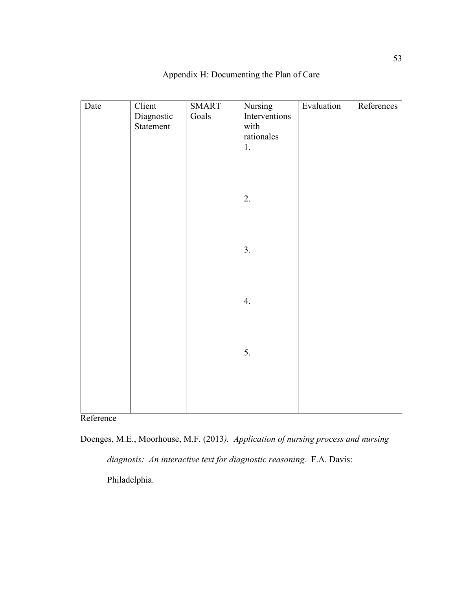| Date | Client     | <b>SMART</b> | Nursing       | Evaluation | References |
|------|------------|--------------|---------------|------------|------------|
|      | Diagnostic | Goals        | Interventions |            |            |
|      | Statement  |              | with          |            |            |
|      |            |              | rationales    |            |            |
|      |            |              | 1.            |            |            |
|      |            |              |               |            |            |
|      |            |              |               |            |            |
|      |            |              |               |            |            |
|      |            |              |               |            |            |
|      |            |              | 2.            |            |            |
|      |            |              |               |            |            |
|      |            |              |               |            |            |
|      |            |              |               |            |            |
|      |            |              |               |            |            |
|      |            |              | 3.            |            |            |
|      |            |              |               |            |            |
|      |            |              |               |            |            |
|      |            |              |               |            |            |
|      |            |              | 4.            |            |            |
|      |            |              |               |            |            |
|      |            |              |               |            |            |
|      |            |              |               |            |            |
|      |            |              |               |            |            |
|      |            |              | 5.            |            |            |
|      |            |              |               |            |            |
|      |            |              |               |            |            |
|      |            |              |               |            |            |
|      |            |              |               |            |            |
|      |            |              |               |            |            |
|      |            |              |               |            |            |

## Appendix H: Documenting the Plan of Care

Reference

Doenges, M.E., Moorhouse, M.F. (2013*). Application of nursing process and nursing diagnosis: An interactive text for diagnostic reasoning.* F.A. Davis: Philadelphia.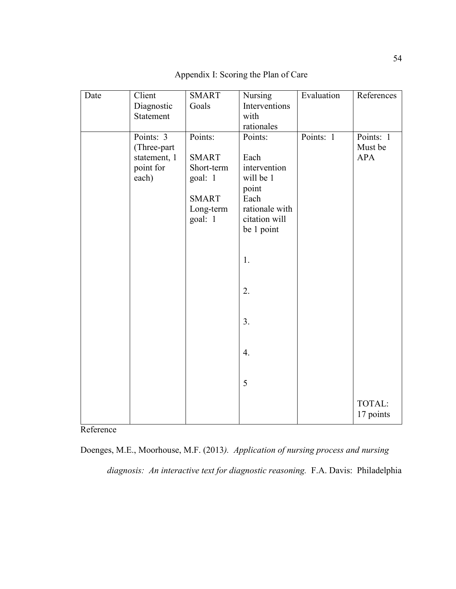| Date | Client       | <b>SMART</b> | Nursing                         | Evaluation | References |
|------|--------------|--------------|---------------------------------|------------|------------|
|      | Diagnostic   | Goals        | Interventions                   |            |            |
|      | Statement    |              | with                            |            |            |
|      |              |              | rationales                      |            |            |
|      | Points: 3    | Points:      | Points:                         | Points: 1  | Points: 1  |
|      | (Three-part  |              |                                 |            | Must be    |
|      | statement, 1 | <b>SMART</b> | Each                            |            | <b>APA</b> |
|      | point for    | Short-term   | intervention                    |            |            |
|      | each)        | goal: 1      | will be 1                       |            |            |
|      |              |              | point                           |            |            |
|      |              | <b>SMART</b> | Each                            |            |            |
|      |              | Long-term    | rationale with<br>citation will |            |            |
|      |              | goal: 1      | be 1 point                      |            |            |
|      |              |              |                                 |            |            |
|      |              |              |                                 |            |            |
|      |              |              | 1.                              |            |            |
|      |              |              |                                 |            |            |
|      |              |              |                                 |            |            |
|      |              |              | 2.                              |            |            |
|      |              |              |                                 |            |            |
|      |              |              |                                 |            |            |
|      |              |              | 3 <sub>1</sub>                  |            |            |
|      |              |              |                                 |            |            |
|      |              |              |                                 |            |            |
|      |              |              | 4.                              |            |            |
|      |              |              |                                 |            |            |
|      |              |              |                                 |            |            |
|      |              |              | 5                               |            |            |
|      |              |              |                                 |            | TOTAL:     |
|      |              |              |                                 |            | 17 points  |
|      |              |              |                                 |            |            |

Appendix I: Scoring the Plan of Care

Reference

Doenges, M.E., Moorhouse, M.F. (2013*). Application of nursing process and nursing* 

*diagnosis: An interactive text for diagnostic reasoning.* F.A. Davis: Philadelphia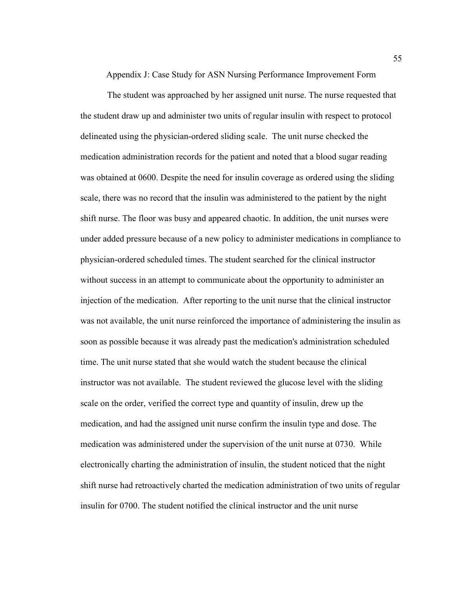Appendix J: Case Study for ASN Nursing Performance Improvement Form

The student was approached by her assigned unit nurse. The nurse requested that the student draw up and administer two units of regular insulin with respect to protocol delineated using the physician-ordered sliding scale. The unit nurse checked the medication administration records for the patient and noted that a blood sugar reading was obtained at 0600. Despite the need for insulin coverage as ordered using the sliding scale, there was no record that the insulin was administered to the patient by the night shift nurse. The floor was busy and appeared chaotic. In addition, the unit nurses were under added pressure because of a new policy to administer medications in compliance to physician-ordered scheduled times. The student searched for the clinical instructor without success in an attempt to communicate about the opportunity to administer an injection of the medication. After reporting to the unit nurse that the clinical instructor was not available, the unit nurse reinforced the importance of administering the insulin as soon as possible because it was already past the medication's administration scheduled time. The unit nurse stated that she would watch the student because the clinical instructor was not available. The student reviewed the glucose level with the sliding scale on the order, verified the correct type and quantity of insulin, drew up the medication, and had the assigned unit nurse confirm the insulin type and dose. The medication was administered under the supervision of the unit nurse at 0730. While electronically charting the administration of insulin, the student noticed that the night shift nurse had retroactively charted the medication administration of two units of regular insulin for 0700. The student notified the clinical instructor and the unit nurse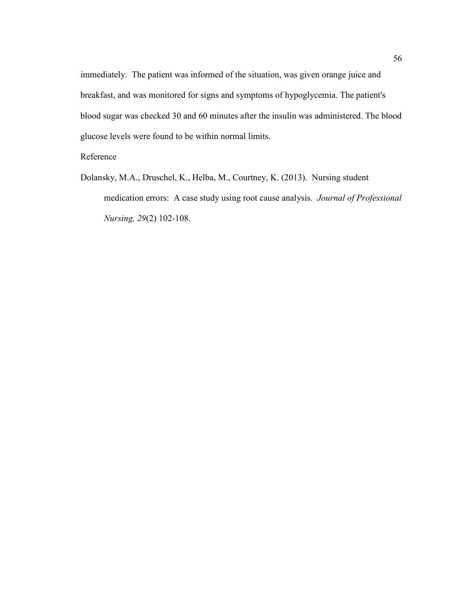immediately. The patient was informed of the situation, was given orange juice and breakfast, and was monitored for signs and symptoms of hypoglycemia. The patient's blood sugar was checked 30 and 60 minutes after the insulin was administered. The blood glucose levels were found to be within normal limits.

### Reference

Dolansky, M.A., Druschel, K., Helba, M., Courtney, K. (2013). Nursing student medication errors: A case study using root cause analysis. *Journal of Professional Nursing, 29*(2) 102-108.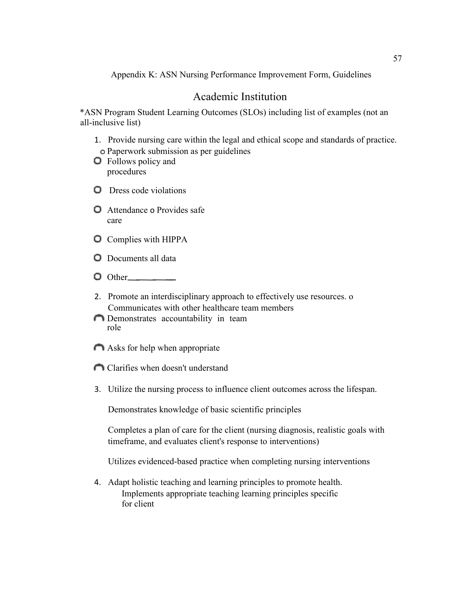Appendix K: ASN Nursing Performance Improvement Form, Guidelines

## Academic Institution

\*ASN Program Student Learning Outcomes (SLOs) including list of examples (not an all-inclusive list)

- 1. Provide nursing care within the legal and ethical scope and standards of practice. Paperwork submission as per guidelines
- **O** Follows policy and procedures
- **Q** Dress code violations
- **O** Attendance o Provides safe care
- **O** Complies with HIPPA
- **O** Documents all data
- $\Box$  Other
- 2. Promote an interdisciplinary approach to effectively use resources. o Communicates with other healthcare team members
- Demonstrates accountability in team role
- Asks for help when appropriate
- Clarifies when doesn't understand
- 3. Utilize the nursing process to influence client outcomes across the lifespan.

Demonstrates knowledge of basic scientific principles

Completes a plan of care for the client (nursing diagnosis, realistic goals with timeframe, and evaluates client's response to interventions)

Utilizes evidenced-based practice when completing nursing interventions

4. Adapt holistic teaching and learning principles to promote health. Implements appropriate teaching learning principles specific for client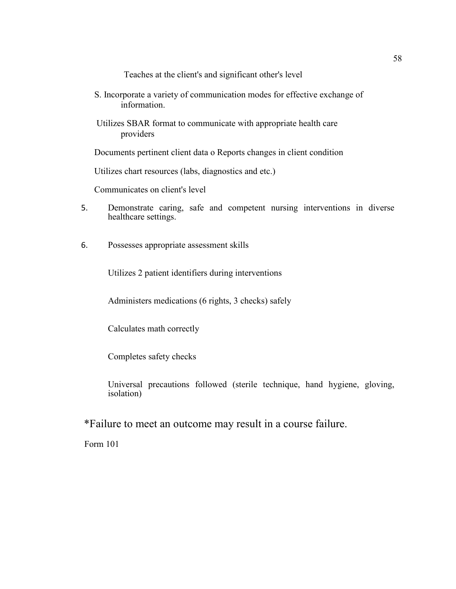Teaches at the client's and significant other's level

- S. Incorporate a variety of communication modes for effective exchange of information.
- Utilizes SBAR format to communicate with appropriate health care providers

Documents pertinent client data o Reports changes in client condition

Utilizes chart resources (labs, diagnostics and etc.)

Communicates on client's level

- 5. Demonstrate caring, safe and competent nursing interventions in diverse healthcare settings.
- 6. Possesses appropriate assessment skills

Utilizes 2 patient identifiers during interventions

Administers medications (6 rights, 3 checks) safely

Calculates math correctly

Completes safety checks

Universal precautions followed (sterile technique, hand hygiene, gloving, isolation)

\*Failure to meet an outcome may result in a course failure.

Form 101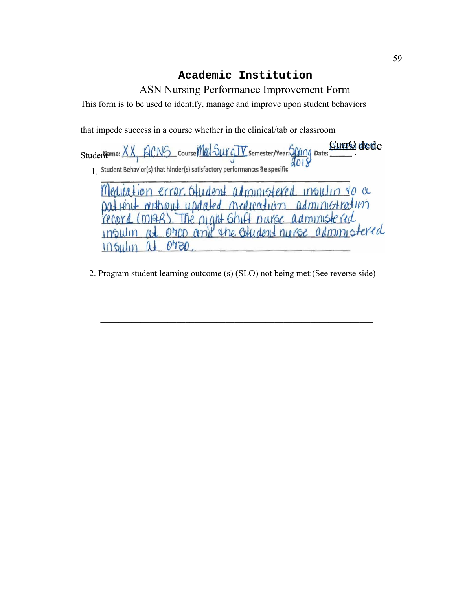## **Academic Institution**

## ASN Nursing Performance Improvement Form

This form is to be used to identify, manage and improve upon student behaviors

that impede success in a course whether in the clinical/tab or classroom

<u>GunrO dede</u>  $\mathbb{A}_{\mathbb{Z}_p}$ Student<sup>a</sup>

1.

error Oudent administered Medication  $mgilin$ **YO CL** patient without updated medication administration record (might). The night shift nurse administered orrop and the otherates nurse administered insulin  $M +$  $0430$  $105$ ulin  $\Lambda$ 

2. Program student learning outcome (s) (SLO) not being met:(See reverse side)

 $\mathcal{L}_\text{max} = \frac{1}{2} \sum_{i=1}^{n} \frac{1}{2} \sum_{i=1}^{n} \frac{1}{2} \sum_{i=1}^{n} \frac{1}{2} \sum_{i=1}^{n} \frac{1}{2} \sum_{i=1}^{n} \frac{1}{2} \sum_{i=1}^{n} \frac{1}{2} \sum_{i=1}^{n} \frac{1}{2} \sum_{i=1}^{n} \frac{1}{2} \sum_{i=1}^{n} \frac{1}{2} \sum_{i=1}^{n} \frac{1}{2} \sum_{i=1}^{n} \frac{1}{2} \sum_{i=1}^{n} \frac{1$ 

 $\mathcal{L}_\text{max} = \frac{1}{2} \sum_{i=1}^{n} \frac{1}{2} \sum_{i=1}^{n} \frac{1}{2} \sum_{i=1}^{n} \frac{1}{2} \sum_{i=1}^{n} \frac{1}{2} \sum_{i=1}^{n} \frac{1}{2} \sum_{i=1}^{n} \frac{1}{2} \sum_{i=1}^{n} \frac{1}{2} \sum_{i=1}^{n} \frac{1}{2} \sum_{i=1}^{n} \frac{1}{2} \sum_{i=1}^{n} \frac{1}{2} \sum_{i=1}^{n} \frac{1}{2} \sum_{i=1}^{n} \frac{1$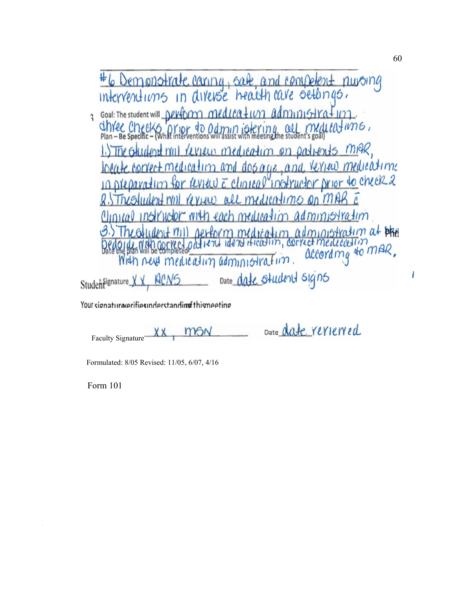| #6 Demonstrate caring, sale, and competent nuroing<br>interventions in diverse health care settings.                                                                                        |
|---------------------------------------------------------------------------------------------------------------------------------------------------------------------------------------------|
|                                                                                                                                                                                             |
| Goal: The student will perform medication administration                                                                                                                                    |
| Chree Checks prior do administering all medications.                                                                                                                                        |
| 1.) The other deal null review medication on patients might,                                                                                                                                |
| locate correct medication and dos age, and veries medications                                                                                                                               |
| in preparation for review a chancel instructor prior to check 2                                                                                                                             |
| 8. The student will review all medications on MAR a                                                                                                                                         |
| Clinical instructor with each medication administration                                                                                                                                     |
| 3.) The olympic mill perform medication administration at blue<br>Dedouge with correct patient identification, correct medication<br>With new medication administration. according to mare. |
|                                                                                                                                                                                             |
| Mich next medication administration.                                                                                                                                                        |
| Date date student signs<br>Student <sup>Fignature</sup> XX, KICNS                                                                                                                           |

Your signature/erifiesinderstandimfthismeeting

Date date reviewed **MSN** XX Faculty Signature

Formulated: 8/05 Revised: 11/05, 6/07, 4/16

Form 101

I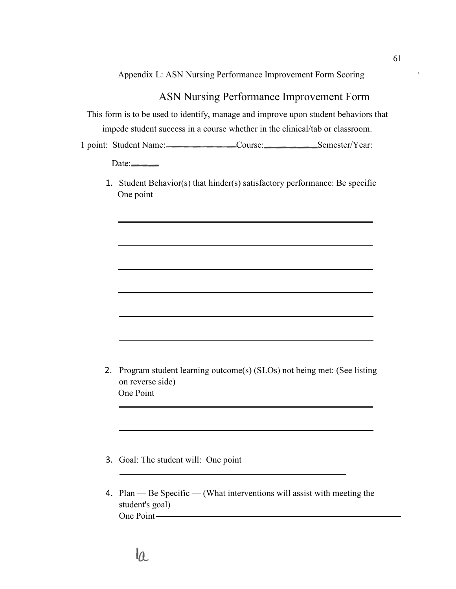Appendix L: ASN Nursing Performance Improvement Form Scoring

## ASN Nursing Performance Improvement Form

This form is to be used to identify, manage and improve upon student behaviors that impede student success in a course whether in the clinical/tab or classroom. 1 point: Student Name: Course: Course: Semester/Year:

Date:

1. Student Behavior(s) that hinder(s) satisfactory performance: Be specific One point

- 2. Program student learning outcome(s) (SLOs) not being met: (See listing on reverse side) One Point
- 3. Goal: The student will: One point
- 4. Plan Be Specific (What interventions will assist with meeting the student's goal) One Point—

61

# la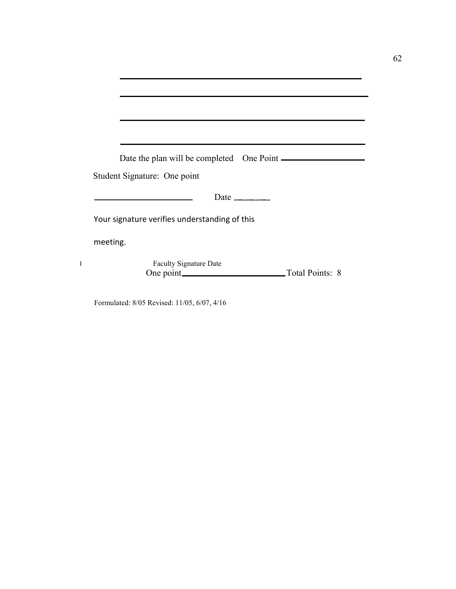| Date the plan will be completed One Point       |
|-------------------------------------------------|
| Student Signature: One point                    |
|                                                 |
| Date $\_\_\_\_\_\_\_\_\_\_\_\_\_\_\_\_\_\_\_\_$ |
| Your signature verifies understanding of this   |
| meeting.                                        |
| <b>Faculty Signature Date</b>                   |

Formulated: 8/05 Revised: 11/05, 6/07, 4/16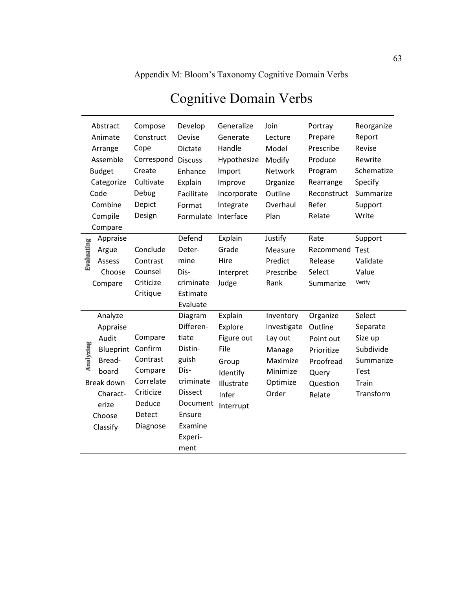Appendix M: Bloom's Taxonomy Cognitive Domain Verbs

|                    | Abstract<br>Animate<br>Arrange<br>Assemble<br><b>Budget</b><br>Categorize<br>Code                                     | Compose<br>Construct<br>Cope<br>Correspond<br>Create<br>Cultivate<br>Debug                          | Develop<br><b>Devise</b><br>Dictate<br><b>Discuss</b><br>Enhance<br>Explain<br>Facilitate                                                    | Generalize<br>Generate<br>Handle<br>Hypothesize<br>Import<br>Improve<br>Incorporate               | Join<br>Lecture<br>Model<br>Modify<br>Network<br>Organize<br>Outline                       | Portray<br>Prepare<br>Prescribe<br>Produce<br>Program<br>Rearrange<br>Reconstruct          | Reorganize<br>Report<br>Revise<br>Rewrite<br>Schematize<br>Specify<br>Summarize              |
|--------------------|-----------------------------------------------------------------------------------------------------------------------|-----------------------------------------------------------------------------------------------------|----------------------------------------------------------------------------------------------------------------------------------------------|---------------------------------------------------------------------------------------------------|--------------------------------------------------------------------------------------------|--------------------------------------------------------------------------------------------|----------------------------------------------------------------------------------------------|
|                    | Combine                                                                                                               | Depict                                                                                              | Format                                                                                                                                       | Integrate                                                                                         | Overhaul                                                                                   | Refer                                                                                      | Support                                                                                      |
| Compile<br>Compare |                                                                                                                       | Design                                                                                              | Formulate                                                                                                                                    | Interface                                                                                         | Plan                                                                                       | Relate                                                                                     | Write                                                                                        |
| Evaluating         | Appraise<br>Argue<br>Assess<br>Choose<br>Compare                                                                      | Conclude<br>Contrast<br>Counsel<br>Criticize<br>Critique                                            | Defend<br>Deter-<br>mine<br>Dis-<br>criminate<br>Estimate<br>Evaluate                                                                        | Explain<br>Grade<br>Hire<br>Interpret<br>Judge                                                    | Justify<br>Measure<br>Predict<br>Prescribe<br>Rank                                         | Rate<br>Recommend<br>Release<br>Select<br>Summarize                                        | Support<br>Test<br>Validate<br>Value<br>Verify                                               |
| Analyzing          | Analyze<br>Appraise<br>Audit<br>Blueprint<br>Bread-<br>board<br>Break down<br>Charact-<br>erize<br>Choose<br>Classify | Compare<br>Confirm<br>Contrast<br>Compare<br>Correlate<br>Criticize<br>Deduce<br>Detect<br>Diagnose | Diagram<br>Differen-<br>tiate<br>Distin-<br>guish<br>Dis-<br>criminate<br><b>Dissect</b><br>Document<br>Ensure<br>Examine<br>Experi-<br>ment | Explain<br>Explore<br>Figure out<br>File<br>Group<br>Identify<br>Illustrate<br>Infer<br>Interrupt | Inventory<br>Investigate<br>Lay out<br>Manage<br>Maximize<br>Minimize<br>Optimize<br>Order | Organize<br>Outline<br>Point out<br>Prioritize<br>Proofread<br>Query<br>Question<br>Relate | Select<br>Separate<br>Size up<br>Subdivide<br>Summarize<br><b>Test</b><br>Train<br>Transform |

## Cognitive Domain Verbs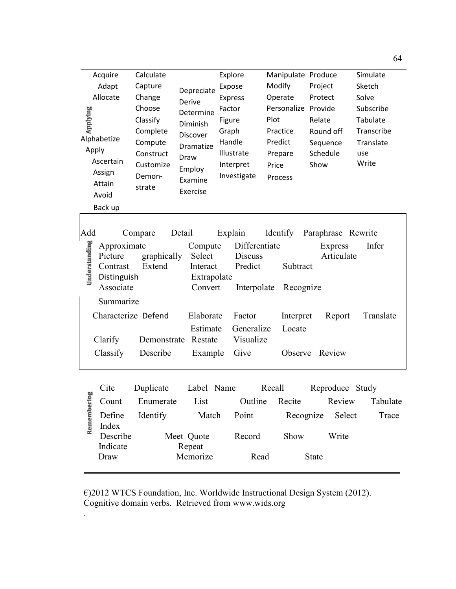| Applying<br>Apply    | Acquire<br>Adapt<br>Allocate<br>Alphabetize<br>Ascertain<br>Assign<br>Attain<br>Avoid<br>Back up                          | Calculate<br>Capture<br>Change<br>Choose<br>Classify<br>Complete<br>Compute<br>Construct<br>Customize<br>Demon-<br>strate | Depreciate<br>Derive<br>Determine<br>Diminish<br>Discover<br>Dramatize<br>Draw<br>Employ<br>Examine<br>Exercise  | Explore<br>Expose<br><b>Express</b><br>Factor<br>Figure<br>Graph<br>Handle<br>Illustrate<br>Interpret<br>Investigate | Manipulate Produce<br>Modify<br>Operate<br>Personalize Provide<br>Plot<br>Practice<br>Predict<br>Prepare<br>Price<br>Process | Project<br>Protect<br>Relate<br>Round off<br>Sequence<br>Schedule<br>Show | Simulate<br>Sketch<br>Solve<br>Subscribe<br>Tabulate<br>Transcribe<br>Translate<br>use<br>Write |
|----------------------|---------------------------------------------------------------------------------------------------------------------------|---------------------------------------------------------------------------------------------------------------------------|------------------------------------------------------------------------------------------------------------------|----------------------------------------------------------------------------------------------------------------------|------------------------------------------------------------------------------------------------------------------------------|---------------------------------------------------------------------------|-------------------------------------------------------------------------------------------------|
| Add<br>Understanding | Approximate<br>Picture<br>Contrast<br>Distinguish<br>Associate<br>Summarize<br>Characterize Defend<br>Clarify<br>Classify | Compare<br>graphically<br>Extend<br>Demonstrate<br>Describe                                                               | Detail<br>Compute<br>Select<br>Interact<br>Extrapolate<br>Convert<br>Elaborate<br>Estimate<br>Restate<br>Example | Explain<br>Differentiate<br><b>Discuss</b><br>Predict<br>Interpolate<br>Factor<br>Generalize<br>Visualize<br>Give    | Identify<br>Subtract<br>Recognize<br>Interpret<br>Locate<br>Observe                                                          | Paraphrase Rewrite<br><b>Express</b><br>Articulate<br>Report<br>Review    | Infer<br>Translate                                                                              |
| Pā<br>Rememberi      | Cite<br>Count<br>Define<br>Index<br>Describe<br>Indicate<br>Draw                                                          | Duplicate<br>Enumerate<br>Identify                                                                                        | Label Name<br>List<br>Match<br>Meet Quote<br>Repeat<br>Memorize                                                  | Outline<br>Point<br>Record<br>Read                                                                                   | Recall<br>Recite<br>Recognize<br>Show                                                                                        | Reproduce Study<br>Review<br>Select<br>Write<br><b>State</b>              | Tabulate<br>Trace                                                                               |

€)2012 WTCS Foundation, Inc. Worldwide Instructional Design System (2012). Cognitive domain verbs. Retrieved from www.wids.org

.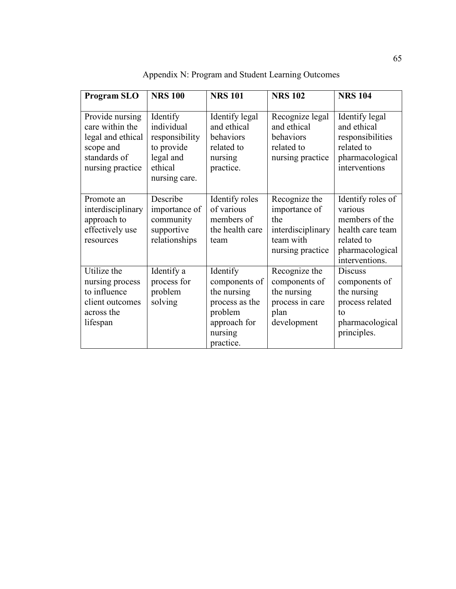| <b>Program SLO</b>                                                                                       | <b>NRS 100</b>                                                                                  | <b>NRS 101</b>                                                                                                | <b>NRS 102</b>                                                                              | <b>NRS 104</b>                                                                                                        |
|----------------------------------------------------------------------------------------------------------|-------------------------------------------------------------------------------------------------|---------------------------------------------------------------------------------------------------------------|---------------------------------------------------------------------------------------------|-----------------------------------------------------------------------------------------------------------------------|
| Provide nursing<br>care within the<br>legal and ethical<br>scope and<br>standards of<br>nursing practice | Identify<br>individual<br>responsibility<br>to provide<br>legal and<br>ethical<br>nursing care. | Identify legal<br>and ethical<br>behaviors<br>related to<br>nursing<br>practice.                              | Recognize legal<br>and ethical<br>behaviors<br>related to<br>nursing practice               | Identify legal<br>and ethical<br>responsibilities<br>related to<br>pharmacological<br>interventions                   |
| Promote an<br>interdisciplinary<br>approach to<br>effectively use<br>resources                           | Describe<br>importance of<br>community<br>supportive<br>relationships                           | Identify roles<br>of various<br>members of<br>the health care<br>team                                         | Recognize the<br>importance of<br>the<br>interdisciplinary<br>team with<br>nursing practice | Identify roles of<br>various<br>members of the<br>health care team<br>related to<br>pharmacological<br>interventions. |
| Utilize the<br>nursing process<br>to influence<br>client outcomes<br>across the<br>lifespan              | Identify a<br>process for<br>problem<br>solving                                                 | Identify<br>components of<br>the nursing<br>process as the<br>problem<br>approach for<br>nursing<br>practice. | Recognize the<br>components of<br>the nursing<br>process in care<br>plan<br>development     | <b>Discuss</b><br>components of<br>the nursing<br>process related<br>to<br>pharmacological<br>principles.             |

Appendix N: Program and Student Learning Outcomes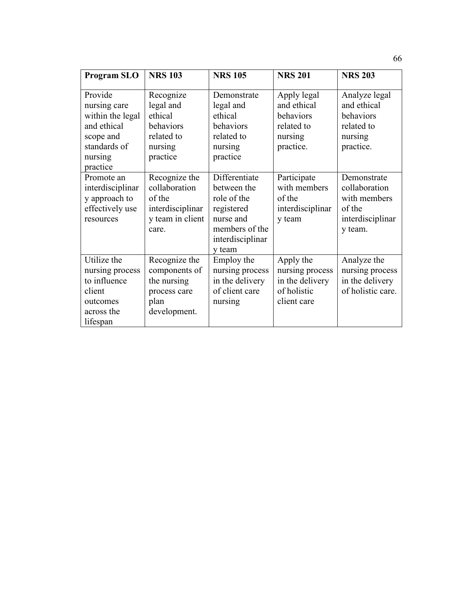| <b>Program SLO</b>                                                                                             | <b>NRS 103</b>                                                                            | <b>NRS 105</b>                                                                                                         | <b>NRS 201</b>                                                                | <b>NRS 203</b>                                                                        |
|----------------------------------------------------------------------------------------------------------------|-------------------------------------------------------------------------------------------|------------------------------------------------------------------------------------------------------------------------|-------------------------------------------------------------------------------|---------------------------------------------------------------------------------------|
| Provide<br>nursing care<br>within the legal<br>and ethical<br>scope and<br>standards of<br>nursing<br>practice | Recognize<br>legal and<br>ethical<br>behaviors<br>related to<br>nursing<br>practice       | Demonstrate<br>legal and<br>ethical<br>behaviors<br>related to<br>nursing<br>practice                                  | Apply legal<br>and ethical<br>behaviors<br>related to<br>nursing<br>practice. | Analyze legal<br>and ethical<br>behaviors<br>related to<br>nursing<br>practice.       |
| Promote an<br>interdisciplinar<br>y approach to<br>effectively use<br>resources                                | Recognize the<br>collaboration<br>of the<br>interdisciplinar<br>y team in client<br>care. | Differentiate<br>between the<br>role of the<br>registered<br>nurse and<br>members of the<br>interdisciplinar<br>y team | Participate<br>with members<br>of the<br>interdisciplinar<br>y team           | Demonstrate<br>collaboration<br>with members<br>of the<br>interdisciplinar<br>y team. |
| Utilize the<br>nursing process<br>to influence<br>client<br>outcomes<br>across the<br>lifespan                 | Recognize the<br>components of<br>the nursing<br>process care<br>plan<br>development.     | Employ the<br>nursing process<br>in the delivery<br>of client care<br>nursing                                          | Apply the<br>nursing process<br>in the delivery<br>of holistic<br>client care | Analyze the<br>nursing process<br>in the delivery<br>of holistic care.                |